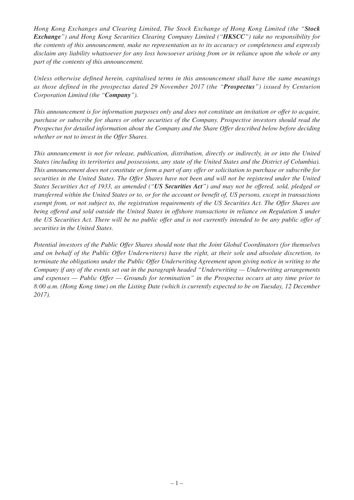*Hong Kong Exchanges and Clearing Limited, The Stock Exchange of Hong Kong Limited (the "Stock Exchange") and Hong Kong Securities Clearing Company Limited ("HKSCC") take no responsibility for the contents of this announcement, make no representation as to its accuracy or completeness and expressly disclaim any liability whatsoever for any loss howsoever arising from or in reliance upon the whole or any part of the contents of this announcement.*

*Unless otherwise defined herein, capitalised terms in this announcement shall have the same meanings as those defined in the prospectus dated 29 November 2017 (the "Prospectus") issued by Centurion Corporation Limited (the "Company").*

*This announcement is for information purposes only and does not constitute an invitation or offer to acquire, purchase or subscribe for shares or other securities of the Company. Prospective investors should read the Prospectus for detailed information about the Company and the Share Offer described below before deciding whether or not to invest in the Offer Shares.*

*This announcement is not for release, publication, distribution, directly or indirectly, in or into the United States (including its territories and possessions, any state of the United States and the District of Columbia). This announcement does not constitute or form a part of any offer or solicitation to purchase or subscribe for securities in the United States. The Offer Shares have not been and will not be registered under the United States Securities Act of 1933, as amended ("US Securities Act") and may not be offered, sold, pledged or transferred within the United States or to, or for the account or benefit of, US persons, except in transactions exempt from, or not subject to, the registration requirements of the US Securities Act. The Offer Shares are being offered and sold outside the United States in offshore transactions in reliance on Regulation S under the US Securities Act. There will be no public offer and is not currently intended to be any public offer of securities in the United States.*

*Potential investors of the Public Offer Shares should note that the Joint Global Coordinators (for themselves and on behalf of the Public Offer Underwriters) have the right, at their sole and absolute discretion, to terminate the obligations under the Public Offer Underwriting Agreement upon giving notice in writing to the Company if any of the events set out in the paragraph headed "Underwriting — Underwriting arrangements and expenses — Public Offer — Grounds for termination" in the Prospectus occurs at any time prior to 8:00 a.m. (Hong Kong time) on the Listing Date (which is currently expected to be on Tuesday, 12 December 2017).*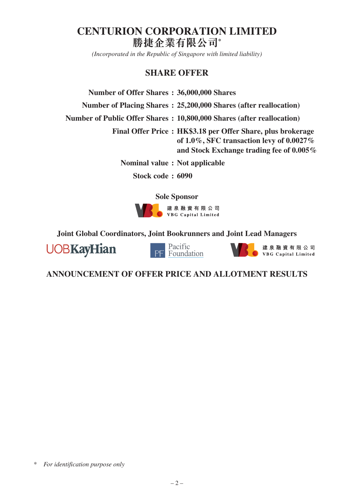# **CENTURION CORPORATION LIMITED 勝捷企業有限公司\***

*(Incorporated in the Republic of Singapore with limited liability)*

# **SHARE OFFER**

| Number of Offer Shares: 36,000,000 Shares |                                                                                                                                                            |
|-------------------------------------------|------------------------------------------------------------------------------------------------------------------------------------------------------------|
|                                           | Number of Placing Shares: 25,200,000 Shares (after reallocation)                                                                                           |
|                                           | Number of Public Offer Shares: 10,800,000 Shares (after reallocation)                                                                                      |
|                                           | Final Offer Price: HK\$3.18 per Offer Share, plus brokerage<br>of $1.0\%$ , SFC transaction levy of $0.0027\%$<br>and Stock Exchange trading fee of 0.005% |
| Nominal value: Not applicable             |                                                                                                                                                            |
|                                           |                                                                                                                                                            |

**Stock code : 6090**

**Sole Sponsor**



**Joint Global Coordinators, Joint Bookrunners and Joint Lead Managers**





建泉融資有限公司 VBG Capital Limited

**ANNOUNCEMENT OF OFFER PRICE AND ALLOTMENT RESULTS**

\* *For identification purpose only*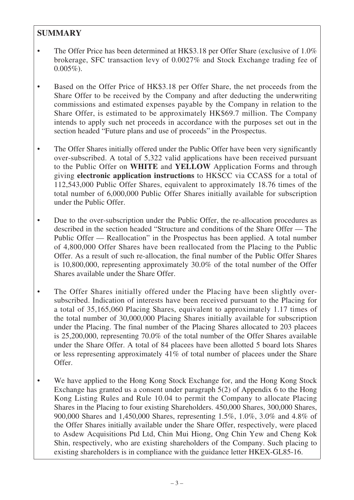# **SUMMARY**

- The Offer Price has been determined at HK\$3.18 per Offer Share (exclusive of 1.0%) brokerage, SFC transaction levy of 0.0027% and Stock Exchange trading fee of  $0.005\%$ ).
- Based on the Offer Price of HK\$3.18 per Offer Share, the net proceeds from the Share Offer to be received by the Company and after deducting the underwriting commissions and estimated expenses payable by the Company in relation to the Share Offer, is estimated to be approximately HK\$69.7 million. The Company intends to apply such net proceeds in accordance with the purposes set out in the section headed "Future plans and use of proceeds" in the Prospectus.
- The Offer Shares initially offered under the Public Offer have been very significantly over-subscribed. A total of 5,322 valid applications have been received pursuant to the Public Offer on **WHITE** and **YELLOW** Application Forms and through giving **electronic application instructions** to HKSCC via CCASS for a total of 112,543,000 Public Offer Shares, equivalent to approximately 18.76 times of the total number of 6,000,000 Public Offer Shares initially available for subscription under the Public Offer.
- Due to the over-subscription under the Public Offer, the re-allocation procedures as described in the section headed "Structure and conditions of the Share Offer — The Public Offer — Reallocation" in the Prospectus has been applied. A total number of 4,800,000 Offer Shares have been reallocated from the Placing to the Public Offer. As a result of such re-allocation, the final number of the Public Offer Shares is 10,800,000, representing approximately 30.0% of the total number of the Offer Shares available under the Share Offer.
- The Offer Shares initially offered under the Placing have been slightly oversubscribed. Indication of interests have been received pursuant to the Placing for a total of 35,165,060 Placing Shares, equivalent to approximately 1.17 times of the total number of 30,000,000 Placing Shares initially available for subscription under the Placing. The final number of the Placing Shares allocated to 203 placees is 25,200,000, representing 70.0% of the total number of the Offer Shares available under the Share Offer. A total of 84 placees have been allotted 5 board lots Shares or less representing approximately 41% of total number of placees under the Share Offer.
- We have applied to the Hong Kong Stock Exchange for, and the Hong Kong Stock Exchange has granted us a consent under paragraph 5(2) of Appendix 6 to the Hong Kong Listing Rules and Rule 10.04 to permit the Company to allocate Placing Shares in the Placing to four existing Shareholders. 450,000 Shares, 300,000 Shares, 900,000 Shares and 1,450,000 Shares, representing 1.5%, 1.0%, 3.0% and 4.8% of the Offer Shares initially available under the Share Offer, respectively, were placed to Asdew Acquisitions Ptd Ltd, Chin Mui Hiong, Ong Chin Yew and Cheng Kok Shin, respectively, who are existing shareholders of the Company. Such placing to existing shareholders is in compliance with the guidance letter HKEX-GL85-16.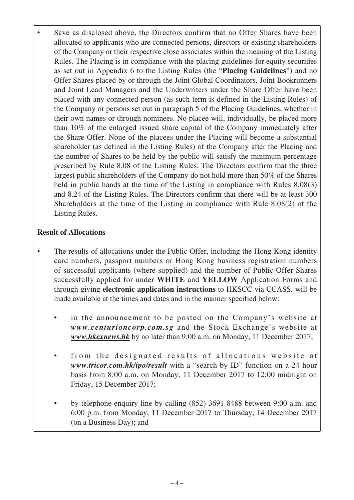Save as disclosed above, the Directors confirm that no Offer Shares have been allocated to applicants who are connected persons, directors or existing shareholders of the Company or their respective close associates within the meaning of the Listing Rules. The Placing is in compliance with the placing guidelines for equity securities as set out in Appendix 6 to the Listing Rules (the "**Placing Guidelines**") and no Offer Shares placed by or through the Joint Global Coordinators, Joint Bookrunners and Joint Lead Managers and the Underwriters under the Share Offer have been placed with any connected person (as such term is defined in the Listing Rules) of the Company or persons set out in paragraph 5 of the Placing Guidelines, whether in their own names or through nominees. No placee will, individually, be placed more than 10% of the enlarged issued share capital of the Company immediately after the Share Offer. None of the placees under the Placing will become a substantial shareholder (as defined in the Listing Rules) of the Company after the Placing and the number of Shares to be held by the public will satisfy the minimum percentage prescribed by Rule 8.08 of the Listing Rules. The Directors confirm that the three largest public shareholders of the Company do not hold more than 50% of the Shares held in public hands at the time of the Listing in compliance with Rules 8.08(3) and 8.24 of the Listing Rules. The Directors confirm that there will be at least 300 Shareholders at the time of the Listing in compliance with Rule 8.08(2) of the Listing Rules.

# **Result of Allocations**

- The results of allocations under the Public Offer, including the Hong Kong identity card numbers, passport numbers or Hong Kong business registration numbers of successful applicants (where supplied) and the number of Public Offer Shares successfully applied for under **WHITE** and **YELLOW** Application Forms and through giving **electronic application instructions** to HKSCC via CCASS, will be made available at the times and dates and in the manner specified below:
	- in the announcement to be posted on the Company's website at *www.centurioncorp.com.sg* and the Stock Exchange's website at *www.hkexnews.hk* by no later than 9:00 a.m. on Monday, 11 December 2017;
	- from the designated results of allocations website at *www.tricor.com.hk/ipo/result* with a "search by ID" function on a 24-hour basis from 8:00 a.m. on Monday, 11 December 2017 to 12:00 midnight on Friday, 15 December 2017;
	- by telephone enquiry line by calling (852) 3691 8488 between 9:00 a.m. and 6:00 p.m. from Monday, 11 December 2017 to Thursday, 14 December 2017 (on a Business Day); and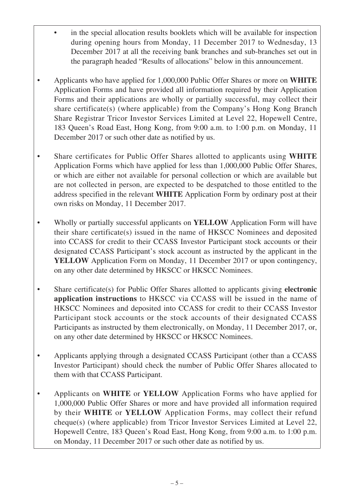- in the special allocation results booklets which will be available for inspection during opening hours from Monday, 11 December 2017 to Wednesday, 13 December 2017 at all the receiving bank branches and sub-branches set out in the paragraph headed "Results of allocations" below in this announcement.
- Applicants who have applied for 1,000,000 Public Offer Shares or more on **WHITE** Application Forms and have provided all information required by their Application Forms and their applications are wholly or partially successful, may collect their share certificate(s) (where applicable) from the Company's Hong Kong Branch Share Registrar Tricor Investor Services Limited at Level 22, Hopewell Centre, 183 Queen's Road East, Hong Kong, from 9:00 a.m. to 1:00 p.m. on Monday, 11 December 2017 or such other date as notified by us.
- Share certificates for Public Offer Shares allotted to applicants using **WHITE** Application Forms which have applied for less than 1,000,000 Public Offer Shares, or which are either not available for personal collection or which are available but are not collected in person, are expected to be despatched to those entitled to the address specified in the relevant **WHITE** Application Form by ordinary post at their own risks on Monday, 11 December 2017.
- Wholly or partially successful applicants on **YELLOW** Application Form will have their share certificate(s) issued in the name of HKSCC Nominees and deposited into CCASS for credit to their CCASS Investor Participant stock accounts or their designated CCASS Participant's stock account as instructed by the applicant in the **YELLOW** Application Form on Monday, 11 December 2017 or upon contingency, on any other date determined by HKSCC or HKSCC Nominees.
- Share certificate(s) for Public Offer Shares allotted to applicants giving **electronic application instructions** to HKSCC via CCASS will be issued in the name of HKSCC Nominees and deposited into CCASS for credit to their CCASS Investor Participant stock accounts or the stock accounts of their designated CCASS Participants as instructed by them electronically, on Monday, 11 December 2017, or, on any other date determined by HKSCC or HKSCC Nominees.
- Applicants applying through a designated CCASS Participant (other than a CCASS Investor Participant) should check the number of Public Offer Shares allocated to them with that CCASS Participant.
- Applicants on **WHITE** or **YELLOW** Application Forms who have applied for 1,000,000 Public Offer Shares or more and have provided all information required by their **WHITE** or **YELLOW** Application Forms, may collect their refund cheque(s) (where applicable) from Tricor Investor Services Limited at Level 22, Hopewell Centre, 183 Queen's Road East, Hong Kong, from 9:00 a.m. to 1:00 p.m. on Monday, 11 December 2017 or such other date as notified by us.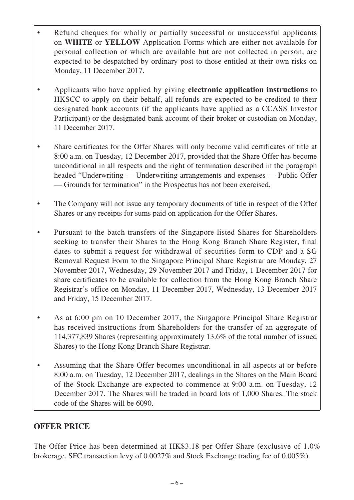- Refund cheques for wholly or partially successful or unsuccessful applicants on **WHITE** or **YELLOW** Application Forms which are either not available for personal collection or which are available but are not collected in person, are expected to be despatched by ordinary post to those entitled at their own risks on Monday, 11 December 2017.
- Applicants who have applied by giving **electronic application instructions** to HKSCC to apply on their behalf, all refunds are expected to be credited to their designated bank accounts (if the applicants have applied as a CCASS Investor Participant) or the designated bank account of their broker or custodian on Monday, 11 December 2017.
- Share certificates for the Offer Shares will only become valid certificates of title at 8:00 a.m. on Tuesday, 12 December 2017, provided that the Share Offer has become unconditional in all respects and the right of termination described in the paragraph headed "Underwriting — Underwriting arrangements and expenses — Public Offer — Grounds for termination" in the Prospectus has not been exercised.
- The Company will not issue any temporary documents of title in respect of the Offer Shares or any receipts for sums paid on application for the Offer Shares.
- Pursuant to the batch-transfers of the Singapore-listed Shares for Shareholders seeking to transfer their Shares to the Hong Kong Branch Share Register, final dates to submit a request for withdrawal of securities form to CDP and a SG Removal Request Form to the Singapore Principal Share Registrar are Monday, 27 November 2017, Wednesday, 29 November 2017 and Friday, 1 December 2017 for share certificates to be available for collection from the Hong Kong Branch Share Registrar's office on Monday, 11 December 2017, Wednesday, 13 December 2017 and Friday, 15 December 2017.
- As at 6:00 pm on 10 December 2017, the Singapore Principal Share Registrar has received instructions from Shareholders for the transfer of an aggregate of 114,377,839 Shares (representing approximately 13.6% of the total number of issued Shares) to the Hong Kong Branch Share Registrar.
- Assuming that the Share Offer becomes unconditional in all aspects at or before 8:00 a.m. on Tuesday, 12 December 2017, dealings in the Shares on the Main Board of the Stock Exchange are expected to commence at 9:00 a.m. on Tuesday, 12 December 2017. The Shares will be traded in board lots of 1,000 Shares. The stock code of the Shares will be 6090.

# **OFFER PRICE**

The Offer Price has been determined at HK\$3.18 per Offer Share (exclusive of 1.0% brokerage, SFC transaction levy of 0.0027% and Stock Exchange trading fee of 0.005%).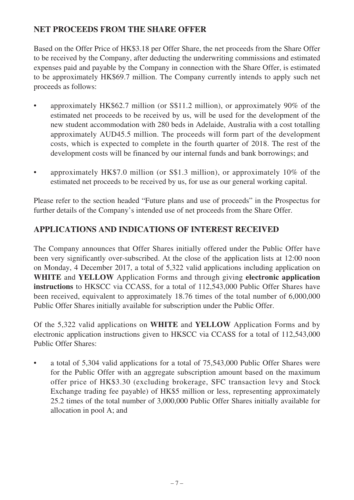# **NET PROCEEDS FROM THE SHARE OFFER**

Based on the Offer Price of HK\$3.18 per Offer Share, the net proceeds from the Share Offer to be received by the Company, after deducting the underwriting commissions and estimated expenses paid and payable by the Company in connection with the Share Offer, is estimated to be approximately HK\$69.7 million. The Company currently intends to apply such net proceeds as follows:

- approximately HK\$62.7 million (or S\$11.2 million), or approximately 90% of the estimated net proceeds to be received by us, will be used for the development of the new student accommodation with 280 beds in Adelaide, Australia with a cost totalling approximately AUD45.5 million. The proceeds will form part of the development costs, which is expected to complete in the fourth quarter of 2018. The rest of the development costs will be financed by our internal funds and bank borrowings; and
- approximately HK\$7.0 million (or S\$1.3 million), or approximately 10% of the estimated net proceeds to be received by us, for use as our general working capital.

Please refer to the section headed "Future plans and use of proceeds" in the Prospectus for further details of the Company's intended use of net proceeds from the Share Offer.

# **APPLICATIONS AND INDICATIONS OF INTEREST RECEIVED**

The Company announces that Offer Shares initially offered under the Public Offer have been very significantly over-subscribed. At the close of the application lists at 12:00 noon on Monday, 4 December 2017, a total of 5,322 valid applications including application on **WHITE** and **YELLOW** Application Forms and through giving **electronic application instructions** to HKSCC via CCASS, for a total of 112,543,000 Public Offer Shares have been received, equivalent to approximately 18.76 times of the total number of 6,000,000 Public Offer Shares initially available for subscription under the Public Offer.

Of the 5,322 valid applications on **WHITE** and **YELLOW** Application Forms and by electronic application instructions given to HKSCC via CCASS for a total of 112,543,000 Public Offer Shares:

• a total of 5,304 valid applications for a total of 75,543,000 Public Offer Shares were for the Public Offer with an aggregate subscription amount based on the maximum offer price of HK\$3.30 (excluding brokerage, SFC transaction levy and Stock Exchange trading fee payable) of HK\$5 million or less, representing approximately 25.2 times of the total number of 3,000,000 Public Offer Shares initially available for allocation in pool A; and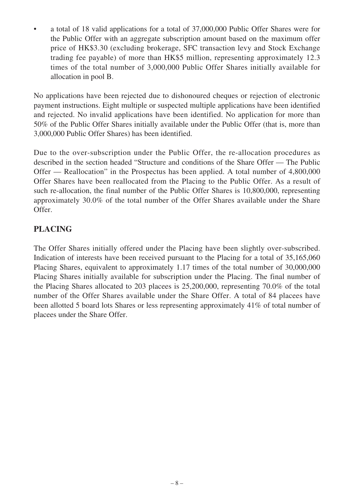• a total of 18 valid applications for a total of 37,000,000 Public Offer Shares were for the Public Offer with an aggregate subscription amount based on the maximum offer price of HK\$3.30 (excluding brokerage, SFC transaction levy and Stock Exchange trading fee payable) of more than HK\$5 million, representing approximately 12.3 times of the total number of 3,000,000 Public Offer Shares initially available for allocation in pool B.

No applications have been rejected due to dishonoured cheques or rejection of electronic payment instructions. Eight multiple or suspected multiple applications have been identified and rejected. No invalid applications have been identified. No application for more than 50% of the Public Offer Shares initially available under the Public Offer (that is, more than 3,000,000 Public Offer Shares) has been identified.

Due to the over-subscription under the Public Offer, the re-allocation procedures as described in the section headed "Structure and conditions of the Share Offer — The Public Offer — Reallocation" in the Prospectus has been applied. A total number of 4,800,000 Offer Shares have been reallocated from the Placing to the Public Offer. As a result of such re-allocation, the final number of the Public Offer Shares is 10,800,000, representing approximately 30.0% of the total number of the Offer Shares available under the Share Offer.

# **PLACING**

The Offer Shares initially offered under the Placing have been slightly over-subscribed. Indication of interests have been received pursuant to the Placing for a total of 35,165,060 Placing Shares, equivalent to approximately 1.17 times of the total number of 30,000,000 Placing Shares initially available for subscription under the Placing. The final number of the Placing Shares allocated to 203 placees is 25,200,000, representing 70.0% of the total number of the Offer Shares available under the Share Offer. A total of 84 placees have been allotted 5 board lots Shares or less representing approximately 41% of total number of placees under the Share Offer.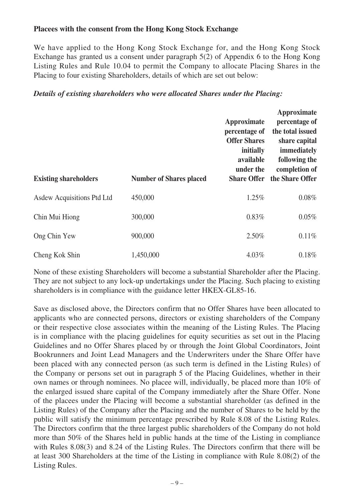# **Placees with the consent from the Hong Kong Stock Exchange**

We have applied to the Hong Kong Stock Exchange for, and the Hong Kong Stock Exchange has granted us a consent under paragraph 5(2) of Appendix 6 to the Hong Kong Listing Rules and Rule 10.04 to permit the Company to allocate Placing Shares in the Placing to four existing Shareholders, details of which are set out below:

## *Details of existing shareholders who were allocated Shares under the Placing:*

| <b>Existing shareholders</b> | <b>Number of Shares placed</b> | Approximate<br>percentage of<br><b>Offer Shares</b><br>initially<br>available<br>under the<br><b>Share Offer</b> | Approximate<br>percentage of<br>the total issued<br>share capital<br>immediately<br>following the<br>completion of<br>the Share Offer |
|------------------------------|--------------------------------|------------------------------------------------------------------------------------------------------------------|---------------------------------------------------------------------------------------------------------------------------------------|
| Asdew Acquisitions Ptd Ltd   | 450,000                        | 1.25%                                                                                                            | $0.08\%$                                                                                                                              |
| Chin Mui Hiong               | 300,000                        | 0.83%                                                                                                            | $0.05\%$                                                                                                                              |
| Ong Chin Yew                 | 900,000                        | 2.50%                                                                                                            | 0.11%                                                                                                                                 |
| Cheng Kok Shin               | 1,450,000                      | 4.03%                                                                                                            | 0.18%                                                                                                                                 |

None of these existing Shareholders will become a substantial Shareholder after the Placing. They are not subject to any lock-up undertakings under the Placing. Such placing to existing shareholders is in compliance with the guidance letter HKEX-GL85-16.

Save as disclosed above, the Directors confirm that no Offer Shares have been allocated to applicants who are connected persons, directors or existing shareholders of the Company or their respective close associates within the meaning of the Listing Rules. The Placing is in compliance with the placing guidelines for equity securities as set out in the Placing Guidelines and no Offer Shares placed by or through the Joint Global Coordinators, Joint Bookrunners and Joint Lead Managers and the Underwriters under the Share Offer have been placed with any connected person (as such term is defined in the Listing Rules) of the Company or persons set out in paragraph 5 of the Placing Guidelines, whether in their own names or through nominees. No placee will, individually, be placed more than 10% of the enlarged issued share capital of the Company immediately after the Share Offer. None of the placees under the Placing will become a substantial shareholder (as defined in the Listing Rules) of the Company after the Placing and the number of Shares to be held by the public will satisfy the minimum percentage prescribed by Rule 8.08 of the Listing Rules. The Directors confirm that the three largest public shareholders of the Company do not hold more than 50% of the Shares held in public hands at the time of the Listing in compliance with Rules 8.08(3) and 8.24 of the Listing Rules. The Directors confirm that there will be at least 300 Shareholders at the time of the Listing in compliance with Rule 8.08(2) of the Listing Rules.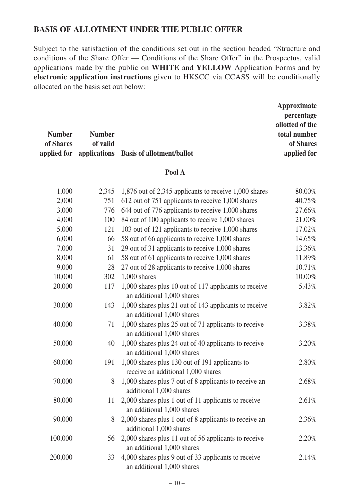# **BASIS OF ALLOTMENT UNDER THE PUBLIC OFFER**

Subject to the satisfaction of the conditions set out in the section headed "Structure and conditions of the Share Offer — Conditions of the Share Offer" in the Prospectus, valid applications made by the public on **WHITE** and **YELLOW** Application Forms and by **electronic application instructions** given to HKSCC via CCASS will be conditionally allocated on the basis set out below:

|               |               |                                                    | Approximate     |
|---------------|---------------|----------------------------------------------------|-----------------|
|               |               |                                                    | percentage      |
|               |               |                                                    | allotted of the |
| <b>Number</b> | <b>Number</b> |                                                    | total number    |
| of Shares     | of valid      |                                                    | of Shares       |
|               |               | applied for applications Basis of allotment/ballot | applied for     |

## **Pool A**

| 1,000   | 2,345 | 1,876 out of 2,345 applicants to receive 1,000 shares                                | 80.00%   |
|---------|-------|--------------------------------------------------------------------------------------|----------|
| 2,000   | 751   | 612 out of 751 applicants to receive 1,000 shares                                    | 40.75%   |
| 3,000   | 776   | 644 out of 776 applicants to receive 1,000 shares                                    | 27.66%   |
| 4,000   | 100   | 84 out of 100 applicants to receive 1,000 shares                                     | 21.00%   |
| 5,000   | 121   | 103 out of 121 applicants to receive 1,000 shares                                    | 17.02%   |
| 6,000   | 66    | 58 out of 66 applicants to receive 1,000 shares                                      | 14.65%   |
| 7,000   | 31    | 29 out of 31 applicants to receive 1,000 shares                                      | 13.36%   |
| 8,000   | 61    | 58 out of 61 applicants to receive 1,000 shares                                      | 11.89%   |
| 9,000   | 28    | 27 out of 28 applicants to receive 1,000 shares                                      | 10.71%   |
| 10,000  | 302   | $1,000$ shares                                                                       | 10.00%   |
| 20,000  | 117   | 1,000 shares plus 10 out of 117 applicants to receive<br>an additional 1,000 shares  | 5.43%    |
| 30,000  | 143   | 1,000 shares plus 21 out of 143 applicants to receive<br>an additional 1,000 shares  | 3.82%    |
| 40,000  | 71    | 1,000 shares plus 25 out of 71 applicants to receive<br>an additional 1,000 shares   | 3.38%    |
| 50,000  | 40    | 1,000 shares plus 24 out of 40 applicants to receive<br>an additional 1,000 shares   | $3.20\%$ |
| 60,000  | 191   | 1,000 shares plus 130 out of 191 applicants to<br>receive an additional 1,000 shares | 2.80%    |
| 70,000  | 8     | 1,000 shares plus 7 out of 8 applicants to receive an<br>additional 1,000 shares     | 2.68%    |
| 80,000  | 11    | 2,000 shares plus 1 out of 11 applicants to receive<br>an additional 1,000 shares    | 2.61%    |
| 90,000  | 8     | 2,000 shares plus 1 out of 8 applicants to receive an<br>additional 1,000 shares     | 2.36%    |
| 100,000 | 56    | 2,000 shares plus 11 out of 56 applicants to receive<br>an additional 1,000 shares   | $2.20\%$ |
| 200,000 | 33    | 4,000 shares plus 9 out of 33 applicants to receive<br>an additional 1,000 shares    | 2.14%    |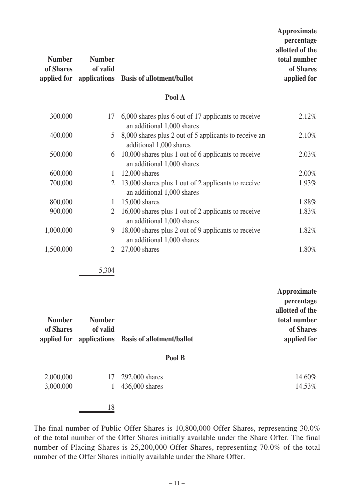| <b>Number</b><br>of Shares | <b>Number</b><br>of valid<br>applied for applications | <b>Basis of allotment/ballot</b>                                                  | <b>Approximate</b><br>percentage<br>allotted of the<br>total number<br>of Shares<br>applied for |
|----------------------------|-------------------------------------------------------|-----------------------------------------------------------------------------------|-------------------------------------------------------------------------------------------------|
|                            |                                                       | Pool A                                                                            |                                                                                                 |
| 300,000                    | 17                                                    | 6,000 shares plus 6 out of 17 applicants to receive<br>an additional 1,000 shares | 2.12%                                                                                           |
| 400,000                    | 5                                                     | 8,000 shares plus 2 out of 5 applicants to receive an<br>additional 1,000 shares  | 2.10%                                                                                           |
| 500,000                    | 6                                                     | 10,000 shares plus 1 out of 6 applicants to receive<br>an additional 1,000 shares | 2.03%                                                                                           |
| 600,000                    | $\mathbf{1}$                                          | 12,000 shares                                                                     | 2.00%                                                                                           |
| 700,000                    | $\overline{2}$                                        | 13,000 shares plus 1 out of 2 applicants to receive<br>an additional 1,000 shares | 1.93%                                                                                           |
| 800,000                    | $\mathbf{1}$                                          | 15,000 shares                                                                     | 1.88%                                                                                           |
| 900,000                    | $\overline{2}$                                        | 16,000 shares plus 1 out of 2 applicants to receive<br>an additional 1,000 shares | 1.83%                                                                                           |
| 1,000,000                  | 9                                                     | 18,000 shares plus 2 out of 9 applicants to receive<br>an additional 1,000 shares | 1.82%                                                                                           |
| 1,500,000                  | 2                                                     | 27,000 shares                                                                     | 1.80%                                                                                           |
|                            | 5,304                                                 |                                                                                   |                                                                                                 |

|               |               |                                                    | Approximate     |
|---------------|---------------|----------------------------------------------------|-----------------|
|               |               |                                                    | percentage      |
|               |               |                                                    | allotted of the |
| <b>Number</b> | <b>Number</b> |                                                    | total number    |
| of Shares     | of valid      |                                                    | of Shares       |
|               |               | applied for applications Basis of allotment/ballot | applied for     |

## **Pool B**

| 2,000,000 | 17 | 292,000 shares   | 14.60% |
|-----------|----|------------------|--------|
| 3,000,000 |    | $436,000$ shares | 14.53% |
|           | 18 |                  |        |

The final number of Public Offer Shares is 10,800,000 Offer Shares, representing 30.0% of the total number of the Offer Shares initially available under the Share Offer. The final number of Placing Shares is 25,200,000 Offer Shares, representing 70.0% of the total number of the Offer Shares initially available under the Share Offer.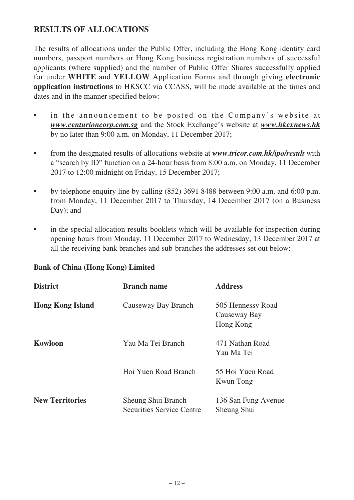# **RESULTS OF ALLOCATIONS**

The results of allocations under the Public Offer, including the Hong Kong identity card numbers, passport numbers or Hong Kong business registration numbers of successful applicants (where supplied) and the number of Public Offer Shares successfully applied for under **WHITE** and **YELLOW** Application Forms and through giving **electronic application instructions** to HKSCC via CCASS, will be made available at the times and dates and in the manner specified below:

- in the announcement to be posted on the Company's website at *www.centurioncorp.com.sg* and the Stock Exchange's website at *www.hkexnews.hk* by no later than 9:00 a.m. on Monday, 11 December 2017;
- from the designated results of allocations website at *www.tricor.com.hk/ipo/result* with a "search by ID" function on a 24-hour basis from 8:00 a.m. on Monday, 11 December 2017 to 12:00 midnight on Friday, 15 December 2017;
- by telephone enquiry line by calling (852) 3691 8488 between 9:00 a.m. and 6:00 p.m. from Monday, 11 December 2017 to Thursday, 14 December 2017 (on a Business Day); and
- in the special allocation results booklets which will be available for inspection during opening hours from Monday, 11 December 2017 to Wednesday, 13 December 2017 at all the receiving bank branches and sub-branches the addresses set out below:

| <b>District</b>         | <b>Branch name</b>                                     | <b>Address</b>                                 |
|-------------------------|--------------------------------------------------------|------------------------------------------------|
| <b>Hong Kong Island</b> | Causeway Bay Branch                                    | 505 Hennessy Road<br>Causeway Bay<br>Hong Kong |
| <b>Kowloon</b>          | Yau Ma Tei Branch                                      | 471 Nathan Road<br>Yau Ma Tei                  |
|                         | Hoi Yuen Road Branch                                   | 55 Hoi Yuen Road<br>Kwun Tong                  |
| <b>New Territories</b>  | Sheung Shui Branch<br><b>Securities Service Centre</b> | 136 San Fung Avenue<br>Sheung Shui             |

# **Bank of China (Hong Kong) Limited**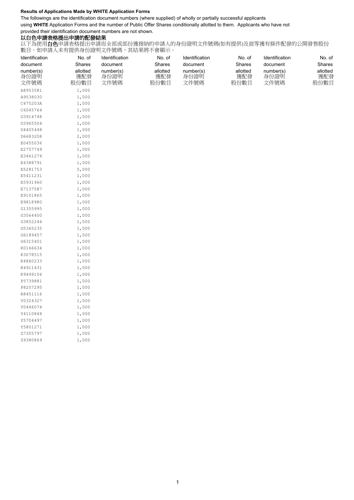#### **Results of Applications Made by WHITE Application Forms**

The followings are the identification document numbers (where supplied) of wholly or partially successful applicants

using **WHITE** Application Forms and the number of Public Offer Shares conditionally allotted to them. Applicants who have not

provided their identification document numbers are not shown.

### 以白色申請表格提出申請的配發結果

以下為使用白色申請表格提出申請而全部或部份獲接納的申請人的身份證明文件號碼(如有提供)及彼等獲有條件配發的公開發售股份 數目。如申請人未有提供身份證明文件號碼,其結果將不會顯示。

| Identification            | No. of                  | Identification            | No. of                  | Identification            | No. of                  | Identification            | No. of                  |  |
|---------------------------|-------------------------|---------------------------|-------------------------|---------------------------|-------------------------|---------------------------|-------------------------|--|
| document                  | Shares                  | document                  | Shares                  | document                  | Shares                  | document                  | Shares                  |  |
| number(s)<br>身份證明<br>文件號碼 | allotted<br>獲配發<br>股份數目 | number(s)<br>身份證明<br>文件號碼 | allotted<br>獲配發<br>股份數目 | number(s)<br>身份證明<br>文件號碼 | allotted<br>獲配發<br>股份數目 | number(s)<br>身份證明<br>文件號碼 | allotted<br>獲配發<br>股份數目 |  |
| A8953581                  | 1,000                   |                           |                         |                           |                         |                           |                         |  |
| A9538030                  | 1,000                   |                           |                         |                           |                         |                           |                         |  |
| C475203A                  | 1,000                   |                           |                         |                           |                         |                           |                         |  |
| C6045764                  | 1,000                   |                           |                         |                           |                         |                           |                         |  |
| D3914748                  | 1,000                   |                           |                         |                           |                         |                           |                         |  |
| D3965504                  | 1,000                   |                           |                         |                           |                         |                           |                         |  |
| D4405448                  | 1,000                   |                           |                         |                           |                         |                           |                         |  |
| D6683208                  | 2,000                   |                           |                         |                           |                         |                           |                         |  |
| E0455036                  | 1,000                   |                           |                         |                           |                         |                           |                         |  |
| E2757749                  | 1,000                   |                           |                         |                           |                         |                           |                         |  |
| E3461274                  | 1,000                   |                           |                         |                           |                         |                           |                         |  |
| E4388791                  | 1,000                   |                           |                         |                           |                         |                           |                         |  |
| E5281753                  | 5,000                   |                           |                         |                           |                         |                           |                         |  |
| E5411231                  | 1,000                   |                           |                         |                           |                         |                           |                         |  |
| E5931960                  | 1,000                   |                           |                         |                           |                         |                           |                         |  |
| E7137587                  | 1,000                   |                           |                         |                           |                         |                           |                         |  |
| E9101865                  | 1,000                   |                           |                         |                           |                         |                           |                         |  |
| E9818980                  | 1,000                   |                           |                         |                           |                         |                           |                         |  |
| G1355995                  | 1,000                   |                           |                         |                           |                         |                           |                         |  |
| G3564400                  | 1,000                   |                           |                         |                           |                         |                           |                         |  |
| G3852244                  | 1,000                   |                           |                         |                           |                         |                           |                         |  |
| G5365235                  | 1,000                   |                           |                         |                           |                         |                           |                         |  |
| G6189457                  | 1,000                   |                           |                         |                           |                         |                           |                         |  |
| G6315401                  | 1,000                   |                           |                         |                           |                         |                           |                         |  |
| K0166634                  | 1,000                   |                           |                         |                           |                         |                           |                         |  |
| K3078515                  | 1,000                   |                           |                         |                           |                         |                           |                         |  |
| K4860233                  | 1,000                   |                           |                         |                           |                         |                           |                         |  |
| K4911431                  | 1,000                   |                           |                         |                           |                         |                           |                         |  |
| K9499156                  | 1,000                   |                           |                         |                           |                         |                           |                         |  |
| P5739881                  | 1,000                   |                           |                         |                           |                         |                           |                         |  |
| P8207295                  | 1,000                   |                           |                         |                           |                         |                           |                         |  |
| R8451116                  | 1,000                   |                           |                         |                           |                         |                           |                         |  |
| Y0324327                  | 1,000                   |                           |                         |                           |                         |                           |                         |  |
| Y0446074                  | 1,000                   |                           |                         |                           |                         |                           |                         |  |
| Y4110844                  | 1,000                   |                           |                         |                           |                         |                           |                         |  |
| Y5704497                  | 1,000                   |                           |                         |                           |                         |                           |                         |  |
| Y5801271                  | 1,000                   |                           |                         |                           |                         |                           |                         |  |
| Z7305797                  | 1,000                   |                           |                         |                           |                         |                           |                         |  |
| Z9380869                  | 1,000                   |                           |                         |                           |                         |                           |                         |  |
|                           |                         |                           |                         |                           |                         |                           |                         |  |
|                           |                         |                           |                         |                           |                         |                           |                         |  |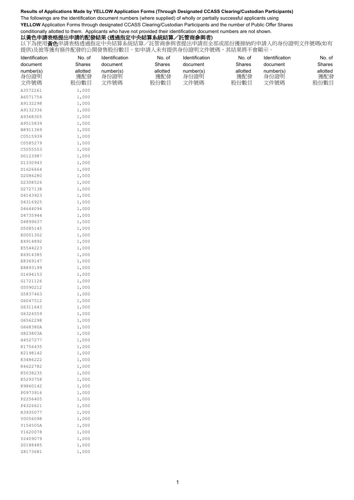#### **Results of Applications Made by YELLOW Application Forms (Through Designated CCASS Clearing/Custodian Participants)**

The followings are the identification document numbers (where supplied) of wholly or partially successful applicants using **YELLOW** Application Forms through designated CCASS Clearing/Custodian Participants and the number of Public Offer Shares conditionally allotted to them. Applicants who have not provided their identification document numbers are not shown.

### 以黃色申請表格提出申請的配發結果 (透過指定中央結算系統結算/託管商參與者)

以下為使用黃色申請表格透過指定中央結算系統結算/託管商參與者提出申請而全部或部份獲接納的申請人的身份證明文件號碼(如有 提供)及彼等獲有條件配發的公開發售股份數目。如申請人未有提供身份證明文件號碼,其結果將不會顯示。

| Identification       | No. of         | Identification | No. of   | Identification | No. of   | Identification | No. of   |
|----------------------|----------------|----------------|----------|----------------|----------|----------------|----------|
| document             | Shares         | document       | Shares   | document       | Shares   | document       | Shares   |
| number(s)            | allotted       | number(s)      | allotted | number(s)      | allotted | number(s)      | allotted |
| 身份證明                 | 獲配發            | 身份證明           | 獲配發      | 身份證明           | 獲配發      | 身份證明           | 獲配發      |
| 文件號碼                 | 股份數目           | 文件號碼           | 股份數目     | 文件號碼           | 股份數目     | 文件號碼           | 股份數目     |
| A3572261             | 1,000          |                |          |                |          |                |          |
| A6571754             | 1,000          |                |          |                |          |                |          |
| A9132298             | 1,000          |                |          |                |          |                |          |
| A9132336             | 1,000          |                |          |                |          |                |          |
| A9368305             | 1,000          |                |          |                |          |                |          |
| A9515839             | 1,000          |                |          |                |          |                |          |
| B8911369             | 1,000          |                |          |                |          |                |          |
| C0515939             | 1,000          |                |          |                |          |                |          |
| C0585279             | 1,000          |                |          |                |          |                |          |
| C5055553             | 1,000          |                |          |                |          |                |          |
| D0123987             | 1,000          |                |          |                |          |                |          |
| D1330943             | 1,000          |                |          |                |          |                |          |
| D1626664             | 1,000          |                |          |                |          |                |          |
| D2086280             | 1,000          |                |          |                |          |                |          |
| D2308526             | 1,000          |                |          |                |          |                |          |
| D2727138             | 1,000          |                |          |                |          |                |          |
| D4143923             | 1,000          |                |          |                |          |                |          |
| D4316925             | 1,000          |                |          |                |          |                |          |
| D4644094             | 1,000          |                |          |                |          |                |          |
| D4735944             | 1,000          |                |          |                |          |                |          |
| D4899637             | 1,000          |                |          |                |          |                |          |
| D5085145             | 1,000          |                |          |                |          |                |          |
| E0001302             | 1,000          |                |          |                |          |                |          |
| E4914892             | 1,000          |                |          |                |          |                |          |
| E5544223<br>E6914385 | 1,000<br>1,000 |                |          |                |          |                |          |
| E8369147             | 1,000          |                |          |                |          |                |          |
| E8893199             | 1,000          |                |          |                |          |                |          |
| G1694153             | 1,000          |                |          |                |          |                |          |
| G1721126             | 1,000          |                |          |                |          |                |          |
| G5590212             | 1,000          |                |          |                |          |                |          |
| G5837463             | 1,000          |                |          |                |          |                |          |
| G6047512             | 1,000          |                |          |                |          |                |          |
| G6311643             | 1,000          |                |          |                |          |                |          |
| G6324559             | 1,000          |                |          |                |          |                |          |
| G6562298             | 1,000          |                |          |                |          |                |          |
| G668380A             | 1,000          |                |          |                |          |                |          |
| G823803A             | 1,000          |                |          |                |          |                |          |
| H4527277             | 1,000          |                |          |                |          |                |          |
| K1756435             | 1,000          |                |          |                |          |                |          |
| K2198142             | 1,000          |                |          |                |          |                |          |
| K3486222             | 1,000          |                |          |                |          |                |          |
| K4622782             | 1,000          |                |          |                |          |                |          |
| K5038235             | 1,000          |                |          |                |          |                |          |
| K5293758             | 1,000          |                |          |                |          |                |          |
| K9860142             | 1,000          |                |          |                |          |                |          |
| P0973916             | 1,000          |                |          |                |          |                |          |
| P2256405<br>P4326621 | 1,000<br>1,000 |                |          |                |          |                |          |
| R3935077             | 1,000          |                |          |                |          |                |          |
| Y0056098             | 1,000          |                |          |                |          |                |          |
| Y154505A             | 1,000          |                |          |                |          |                |          |
| Y1620078             | 1,000          |                |          |                |          |                |          |
| Y2409079             | 1,000          |                |          |                |          |                |          |
| Z0188485             | 1,000          |                |          |                |          |                |          |
| Z8173681             | 1,000          |                |          |                |          |                |          |
|                      |                |                |          |                |          |                |          |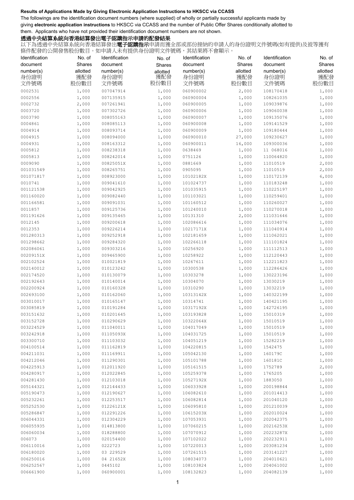The followings are the identification document numbers (where supplied) of wholly or partially successful applicants made by giving **electronic application instructions** to HKSCC via CCASS and the number of Public Offer Shares conditionally allotted to them. Applicants who have not provided their identification document numbers are not shown.

## 透過中央結算系統向香港結算發出電子認購指示申請的配發結果

| Identification         | No. of             | Identification         | No. of             | Identification        | No. of             | Identification        | No. of             |
|------------------------|--------------------|------------------------|--------------------|-----------------------|--------------------|-----------------------|--------------------|
| document<br>number(s)  | Shares<br>allotted | document<br>number(s)  | Shares<br>allotted | document<br>number(s) | Shares<br>allotted | document<br>number(s) | Shares<br>allotted |
| 身份證明<br>文件號碼           | 獲配發<br>股份數目        | 身份證明<br>文件號碼           | 獲配發<br>股份數目        | 身份證明<br>文件號碼          | 獲配發<br>股份數目        | 身份證明<br>文件號碼          | 獲配發<br>股份數目        |
| 0002531                | 1,000              | 007047914              | 1,000              | 060900002             | 2,000              | 108170418             | 1,000              |
| 0002556                | 1,000              | 007135915              | 1,000              | 060900004             | 1,000              | 108261035             | 1,000              |
| 0002732                | 2,000              | 007261941              | 1,000              | 060900005             | 1,000              | 109039876             | 1,000              |
| 0003720                | 1,000              | 007302726              | 1,000              | 060900006             | 1,000              | 109060038             | 1,000              |
| 0003790                | 1,000              | 008055163              | 1,000              | 060900007             | 1,000              | 109135076             | 1,000              |
| 0004861                | 1,000              | 008085113              | 1,000              | 060900008             | 1,000              | 109141529             | 1,000              |
| 0004914                | 1,000              | 008093714              | 1,000              | 060900009             | 1,000              | 109180444             | 1,000              |
| 0004915                | 1,000              | 008094000              | 1,000              | 060900010             | 27,000             | 109230627             | 1,000              |
| 0004931                | 1,000              | 008163312              | 1,000              | 060900011             | 16,000             | 109300036             | 1,000              |
| 0005812                | 1,000              | 008238318              | 1,000              | 0638469               | 1,000              | 11 068016             | 1,000              |
| 0005813                | 1,000              | 008242014              | 1,000              | 0751126               | 1,000              | 110064820             | 1,000              |
| 0009090                | 1,000              | 00825051X              | 1,000              | 0881669               | 1,000              | 11010519              | 2,000              |
| 001031549              | 1,000              | 008265751              | 1,000              | 0905095               | 1,000              | 11010519              | 2,000              |
| 001071817              | 1,000              | 008923000              | 1,000              | 10102182X             | 1,000              | 110172139             | 6,000              |
| 0010741                | 1,000              | 009041610              | 1,000              | 101024737             | 1,000              | 110183248             | 1,000              |
| 001121538              | 1,000              | 009042925              | 1,000              | 101035915             | 1,000              | 110225197             | 1,000              |
| 001160020              | 1,000              | 009082440              | 1,000              | 101103021             | 1,000              | 110259401             | 1,000              |
| 001166581              | 1,000              | 009091031              | 1,000              | 101160512             | 1,000              | 110260027             | 1,000              |
| 0011857                | 1,000              | 009125736              | 1,000              | 101240010             | 1,000              | 110270018             | 1,000              |
| 001191626              | 1,000              | 009135465              | 1,000              | 10131310              | 2,000              | 111031646             | 1,000              |
| 0012145                | 1,000              | 009200618              | 1,000              | 102086616             | 1,000              | 111034076             | 1,000              |
| 0012353                | 1,000              | 009226214              | 1,000              | 10217171X             | 1,000              | 111040914             | 1,000              |
| 001280313              | 1,000              | 009252918              | 1,000              | 102181659             | 1,000              | 111062021             | 1,000              |
| 001298662              | 1,000              | 009284320              | 1,000              | 102266118             | 1,000              | 111101824             | 1,000              |
| 002086061              | 1,000              | 009303216              | 1,000              | 10256920              | 1,000              | 111112513             | 1,000              |
| 00209151X              | 1,000              | 009465900              | 1,000              | 10258922              | 1,000              | 112120443             | 1,000              |
| 002102524              | 1,000              | 010021819              | 1,000              | 10267611              | 1,000              | 112211823             | 1,000              |
| 002140012              | 1,000              | 010123242              | 1,000              | 10300538              | 1,000              | 112286426             | 1,000              |
| 002174520              | 1,000              | 010130079              | 1,000              | 10303278              | 1,000              | 130223196             | 1,000              |
| 002192643<br>002200924 | 1,000              | 010140014<br>010160328 | 1,000              | 10304070<br>10310290  | 1,000              | 13030219<br>13032219  | 1,000              |
| 002693100              | 1,000<br>1,000     | 010162060              | 1,000<br>1,000     | 10313142X             | 1,000<br>1,000     | 140322199             | 1,000<br>1,000     |
| 003010017              | 1,000              | 010165147              | 1,000              | 10314741              | 1,000              | 140421195             | 1,000              |
| 003085819              | 1,000              | 010191284              | 1,000              | 10317192X             | 1,000              | 142726195             | 1,000              |
| 003151632              | 1,000              | 010201645              | 1,000              | 103193828             | 1,000              | 15010319              | 1,000              |
| 003152728              | 1,000              | 010290629              | 1,000              | 10322064X             | 1,000              | 15010519              | 1,000              |
| 003224529              | 1,000              | 011040011              | 1,000              | 104017049             | 1,000              | 15010519              | 1,000              |
| 003242918              | 1,000              | 01105093X              | 1,000              | 104031725             | 1,000              | 15010519              | 1,000              |
| 003300710              | 1,000              | 011103032              | 1,000              | 104051219             | 1,000              | 15282219              | 1,000              |
| 004100514              | 1,000              | 011162819              | 1,000              | 104220815             | 1,000              | 1542475               | 1,000              |
| 004211031              | 1,000              | 011169911              | 1,000              | 105042130             | 1,000              | 160179C               | 1,000              |
| 004212046              | 1,000              | 011290301              | 1,000              | 105101788             | 1,000              | 160181C               | 1,000              |
| 004225913              | 1,000              | 012011920              | 1,000              | 105161515             | 1,000              | 1752789               | 2,000              |
| 004280917              | 1,000              | 012022845              | 1,000              | 105259378             | 1,000              | 1765205               | 1,000              |
| 004281430              | 1,000              | 012103018              | 1,000              | 10527192X             | 1,000              | 1883050               | 1,000              |
| 005144321              | 1,000              | 012144433              | 1,000              | 106033928             | 1,000              | 200198844             | 1,000              |
| 005190473              | 1,000              | 012190627              | 1,000              | 106082610             | 1,000              | 201014413             | 1,000              |
| 005232261              | 1,000              | 012253517              | 1,000              | 106082814             | 1,000              | 201040120             | 1,000              |
| 005252530              | 1,000              | 01226121X              | 1,000              | 106095810             | 1,000              | 201210039             | 1,000              |
| 005286847              | 1,000              | 012291226              | 1,000              | 10615203X             | 1,000              | 202010024             | 1,000              |
| 006044331              | 1,000              | 012304229              | 1,000              | 107053931             | 1,000              | 202042375             | 1,000              |
| 006055935              | 1,000              | 014813800              | 1,000              | 107060215             | 1,000              | 20216253X             | 1,000              |
| 006060034              | 1,000              | 018288800              | 1,000              | 107070912             | 1,000              | 20223287X             | 1,000              |
| 006073                 | 1,000              | 020154400              | 1,000              | 107102022             | 1,000              | 202232911             | 1,000              |
| 006110016              | 1,000              | 0222723                | 1,000              | 107220013             | 1,000              | 203081234             | 1,000              |
| 006180020              | 1,000              | 03 229529              | 1,000              | 107261515             | 1,000              | 203141227             | 1,000              |
| 006250016              | 1,000              | 04 21652X              | 1,000              | 108034073             | 1,000              | 204010621             | 1,000              |
| 006252567              | 1,000              | 0445102                | 1,000              | 108103824             | 1,000              | 204061002             | 1,000              |
| 006661900              | 1,000              | 060900001              | 1,000              | 108132823             | 1,000              | 204082139             | 1,000              |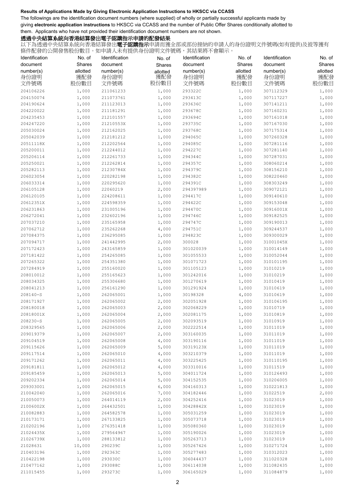The followings are the identification document numbers (where supplied) of wholly or partially successful applicants made by giving **electronic application instructions** to HKSCC via CCASS and the number of Public Offer Shares conditionally allotted to them. Applicants who have not provided their identification document numbers are not shown.

## 透過中央結算系統向香港結算發出電子認購指示申請的配發結果

| Identification | No. of         | Identification         | No. of   | Identification     | No. of   | Identification         | No. of   |
|----------------|----------------|------------------------|----------|--------------------|----------|------------------------|----------|
| document       | Shares         | document               | Shares   | document           | Shares   | document               | Shares   |
| number(s)      | allotted       | number(s)              | allotted | number(s)          | allotted | number(s)              | allotted |
| 身份證明           | 獲配發            | 身份證明                   | 獲配發      | 身份證明               | 獲配發      | 身份證明                   | 獲配發      |
| 文件號碼           | 股份數目           | 文件號碼                   | 股份數目     | 文件號碼               | 股份數目     | 文件號碼                   | 股份數目     |
| 204106226      | 1,000          | 211061233              | 1,000    | 293322C            | 1,000    | 307112329              | 1,000    |
| 204150074      | 1,000          | 211073761              | 1,000    | 293413C            | 1,000    | 307117227              | 1,000    |
| 204190624      | 1,000          | 211123013              | 1,000    | 293636C            | 1,000    | 307141211              | 1,000    |
| 204220022      | 1,000          | 211181291              | 1,000    | 293678C            | 1,000    | 307160231              | 1,000    |
| 204235453      |                | 212101557              |          |                    |          | 307161018              |          |
| 204247220      | 1,000          |                        | 1,000    | 293694C<br>293735C | 1,000    | 307167030              | 1,000    |
| 205030024      | 1,000          | 21210553X              | 1,000    |                    | 1,000    | 307175314              | 1,000    |
| 205042039      | 1,000          | 212162025<br>212181212 | 1,000    | 293768C            | 1,000    | 307260328              | 1,000    |
|                | 1,000<br>1,000 | 212202564              | 1,000    | 294065C            | 1,000    |                        | 1,000    |
| 20511118X      |                |                        | 1,000    | 294085C            | 1,000    | 307281116              | 1,000    |
| 205200011      | 1,000<br>1,000 | 212244012              | 1,000    | 294227C            | 1,000    | 307281140<br>307287031 | 1,000    |
| 205206114      |                | 212261733              | 1,000    | 294344C            | 1,000    |                        | 1,000    |
| 205250021      | 1,000          | 212262814              | 1,000    | 294357C            | 1,000    | 308060214              | 1,000    |
| 205282113      | 1,000          | 21230784X              | 1,000    | 294379C            | 1,000    | 308156210              | 1,000    |
| 206023054      | 1,000          | 220282198              | 1,000    | 294382C            | 1,000    | 308220460              | 1,000    |
| 206033314      | 1,000          | 220295620              | 1,000    | 294391C            | 1,000    | 308303249              | 1,000    |
| 206105128      | 1,000          | 22060219               | 2,000    | 294397989          | 1,000    | 309072121              | 1,000    |
| 206120105      | 1,000          | 224208611              | 1,000    | 294417C            | 1,000    | 309140610              | 1,000    |
| 20612351X      | 1,000          | 224598359              | 1,000    | 294422C            | 1,000    | 309153048              | 1,000    |
| 206231863      | 1,000          | 231005196              | 1,000    | 294470C            | 1,000    | 30916001X              | 1,000    |
| 206272041      | 1,000          | 232602196              | 1,000    | 294746C            | 1,000    | 309182525              | 1,000    |
| 207037210      | 1,000          | 235165958              | 1,000    | 294747C            | 1,000    | 309190013              | 1,000    |
| 207062712      | 1,000          | 235262268              | 4,000    | 294751C            | 1,000    | 309244537              | 1,000    |
| 207084375      | 1,000          | 236295085              | 1,000    | 294823C            | 1,000    | 309300029              | 1,000    |
| 207094717      | 1,000          | 241442995              | 2,000    | 300028             | 1,000    | 31001045X              | 1,000    |
| 207172423      | 1,000          | 243165859              | 1,000    | 301020039          | 1,000    | 310014149              | 1,000    |
| 207181422      | 1,000          | 254265085              | 1,000    | 301055533          | 1,000    | 310052044              | 1,000    |
| 207265322      | 1,000          | 254351380              | 1,000    | 301071723          | 1,000    | 310101195              | 1,000    |
| 207284919      | 1,000          | 255160020              | 1,000    | 301105123          | 1,000    | 31010219               | 1,000    |
| 208010012      | 1,000          | 255165623              | 1,000    | 301242016          | 1,000    | 31010219               | 1,000    |
| 208034325      | 1,000          | 255306680              | 1,000    | 301270619          | 1,000    | 31010419               | 1,000    |
| 208041213      | 1,000          | 256161290              | 1,000    | 301291924          | 1,000    | 31010619               | 1,000    |
| $208140 - S$   | 1,000          | 262065001              | 1,000    | 30198328           | 4,000    | 31010619               | 1,000    |
| 208171927      | 1,000          | 262065002              | 2,000    | 302051928          | 1,000    | 310106195              | 1,000    |
| 208180018      | 1,000          | 262065003              | 2,000    | 302068229          | 1,000    | 31010719               | 1,000    |
| 20818001X      | 1,000          | 262065004              | 2,000    | 302081175          | 1,000    | 31010819               | 1,000    |
| 208230-S       | 1,000          | 262065005              | 2,000    | 302093519          | 1,000    | 31010919               | 1,000    |
| 208329565      | 1,000          | 262065006              | 2,000    | 302222514          | 1,000    | 31011019               | 1,000    |
| 209019379      | 1,000          | 262065007              | 2,000    | 303160035          | 1,000    | 31011019               | 1,000    |
| 209104519      | 1,000          | 262065008              | 4,000    | 303190116          | 1,000    | 31011019               | 1,000    |
| 209115626      | 1,000          | 262065009              | 5,000    | 30319123X          | 1,000    | 31011019               | 1,000    |
| 209117514      | 1,000          | 262065010              | 4,000    | 303210379          | 1,000    | 31011019               | 1,000    |
| 209171262      | 1,000          | 262065011              | 4,000    | 303225425          | 1,000    | 310110195              | 1,000    |
| 209181811      | 1,000          | 262065012              | 4,000    | 303310016          | 1,000    | 31011519               | 1,000    |
| 209185459      | 1,000          | 262065013              | 5,000    | 304011724          | 1,000    | 310126493              | 1,000    |
| 209202334      | 1,000          | 262065014              | 5,000    | 304152535          | 1,000    | 310206005              | 1,000    |
| 209303001      | 1,000          | 262065015              | 6,000    | 304160313          | 1,000    | 310221813              | 1,000    |
| 210042040      | 1,000          | 262065016              | 7,000    | 304182446          | 1,000    | 31022519               | 2,000    |
| 210050073      | 1,000          | 264014119              | 2,000    | 304252416          | 1,000    | 31023019               | 1,000    |
| 21006002X      | 1,000          | 264432501              | 1,000    | 30428842X          | 1,000    | 31023019               | 1,000    |
| 210082883      | 1,000          | 264582578              | 1,000    | 305031259          | 1,000    | 31023019               | 1,000    |
| 210173171      | 1,000          | 267133825              | 1,000    | 305073718          | 1,000    | 31023019               | 1,000    |
| 210202196      | 1,000          | 276351418              | 1,000    | 305080360          | 1,000    | 31023019               | 1,000    |
| 21024435X      | 1,000          | 279564967              | 1,000    | 305190026          | 1,000    | 31023019               | 1,000    |
| 21026739X      | 1,000          | 288133812              | 1,000    | 305263713          | 1,000    | 31023019               | 1,000    |
| 21028631       | 10,000         | 290239C                | 1,000    | 305267426          | 1,000    | 310271724              | 1,000    |
| 210403196      | 1,000          | 292363C                | 1,000    | 305277483          | 1,000    | 310312023              | 1,000    |
| 210422198      | 1,000          | 293030C                | 1,000    | 306044437          | 1,000    | 311020328              | 1,000    |
| 210477162      | 1,000          | 293088C                | 1,000    | 306114038          | 1,000    | 311082435              | 1,000    |
| 211015455      | 1,000          | 293273C                | 1,000    | 306165029          | 1,000    | 311084879              | 1,000    |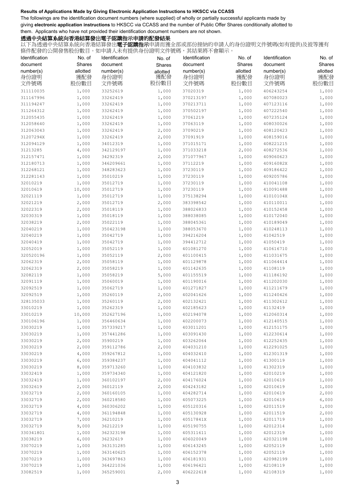The followings are the identification document numbers (where supplied) of wholly or partially successful applicants made by giving **electronic application instructions** to HKSCC via CCASS and the number of Public Offer Shares conditionally allotted to them. Applicants who have not provided their identification document numbers are not shown.

## 透過中央結算系統向香港結算發出電子認購指示申請的配發結果

| Identification         | No. of         | Identification         | No. of         | Identification         | No. of         | Identification         | No. of         |
|------------------------|----------------|------------------------|----------------|------------------------|----------------|------------------------|----------------|
| document               | Shares         | document               | Shares         | document               | Shares         | document               | Shares         |
| number(s)              | allotted       | number(s)              | allotted       | number(s)              | allotted       | number(s)              | allotted       |
| 身份證明                   | 獲配發            | 身份證明                   | 獲配發            | 身份證明                   | 獲配發            | 身份證明                   | 獲配發            |
| 文件號碼                   | 股份數目           | 文件號碼                   | 股份數目           | 文件號碼                   | 股份數目           | 文件號碼                   | 股份數目           |
| 311110035              | 1,000          | 33252619               | 1,000          | 37020319               | 1,000          | 406243254              | 1,000          |
| 311167996              | 1,000          | 33262419               | 1,000          | 370213197              | 1,000          | 407080023              | 1,000          |
| 311194247              | 1,000          | 33262419               | 1,000          | 370213711              | 1,000          | 407123116              | 1,000          |
| 311264312              | 1,000          | 33262419               | 1,000          | 370502197              | 1,000          | 407222540              | 1,000          |
| 312055435              | 1,000          | 33262419               | 1,000          | 37061219               | 1,000          | 407235124              | 1,000          |
| 312058640              | 1,000          | 33262419               | 1,000          | 37063119               | 1,000          | 408030026              | 1,000          |
| 312063043              | 1,000          | 33262419               | 2,000          | 37090219               | 1,000          | 408120423              | 1,000          |
| 31207294X<br>312094129 | 1,000<br>1,000 | 33262419<br>34012319   | 2,000<br>1,000 | 37091919<br>371015171  | 1,000          | 408159016<br>408221215 | 1,000<br>1,000 |
| 31213285               | 4,000          | 342129197              | 1,000          | 371033218              | 1,000<br>2,000 | 408272536              | 1,000          |
| 312157471              | 1,000          | 34292319               | 2,000          | 371077967              | 1,000          | 409060623              | 1,000          |
| 312180713              | 1,000          | 346209661              | 1,000          | 37112219               | 1,000          | 40916082X              | 1,000          |
| 312268121              | 1,000          | 348283623              | 1,000          | 37230119               | 1,000          | 409186422              | 1,000          |
| 312281143              | 1,000          | 35010219               | 1,000          | 37230119               | 1,000          | 409205786              | 1,000          |
| 32010219               | 1,000          | 35012719               | 1,000          | 37230119               | 1,000          | 410041108              | 1,000          |
| 32010619               | 10,000         | 35012719               | 1,000          | 37230119               | 1,000          | 410091488              | 1,000          |
| 32021119               | 1,000          | 35012719               | 1,000          | 375138294              | 1,000          | 41010104X              | 1,000          |
| 32021219               | 2,000          | 35012719               | 2,000          | 383398542              | 1,000          | 410110011              | 1,000          |
| 32022319               | 2,000          | 35018119               | 1,000          | 388026833              | 1,000          | 410152458              | 1,000          |
| 32030319               | 1,000          | 35018119               | 1,000          | 388038085              | 1,000          | 410172040              | 1,000          |
| 32038219               | 2,000          | 35022119               | 1,000          | 388045361              | 1,000          | 410189049              | 1,000          |
| 32040219               | 1,000          | 350423198              | 1,000          | 388053670              | 1,000          | 410248113              | 1,000          |
| 32040219               | 1,000          | 35042719               | 1,000          | 394216204              | 1,000          | 41042519               | 1,000          |
| 32040419               | 1,000          | 35042719               | 1,000          | 394412712              | 1,000          | 41050419               | 1,000          |
| 32052019               | 1,000          | 35052119               | 1,000          | 401081270              | 1,000          | 410616710              | 1,000          |
| 320520196<br>32062319  | 1,000<br>2,000 | 35052119<br>35058119   | 2,000<br>1,000 | 401100415<br>401129878 | 1,000<br>1,000 | 411031675<br>411064414 | 1,000<br>1,000 |
| 32062319               | 2,000          | 35058219               | 1,000          | 401142635              | 1,000          | 41108119               | 1,000          |
| 32082119               | 1,000          | 35058219               | 5,000          | 401155519              | 1,000          | 411186192              | 1,000          |
| 32091119               | 1,000          | 35060019               | 1,000          | 401190016              | 1,000          | 411202030              | 1,000          |
| 32092519               | 1,000          | 35062719               | 1,000          | 401271827              | 1,000          | 411211679              | 1,000          |
| 32092519               | 1,000          | 35260119               | 2,000          | 402041626              | 1,000          | 411240426              | 1,000          |
| 328135033              | 1,000          | 35260119               | 2,000          | 402132421              | 1,000          | 411302612              | 1,000          |
| 33010219               | 1,000          | 35262319               | 1,000          | 402185623              | 1,000          | 41132419               | 1,000          |
| 33010219               | 10,000         | 352627196              | 1,000          | 402194078              | 1,000          | 412060314              | 1,000          |
| 330106196              | 1,000          | 356460634              | 1,000          | 402200073              | 1,000          | 412140515              | 1,000          |
| 33030219               | 1,000          | 357339217              | 1,000          | 403011201              | 1,000          | 412151175              | 1,000          |
| 33030219               | 1,000          | 357441286              | 1,000          | 403091430              | 1,000          | 412230614              | 1,000          |
| 33030219               | 2,000          | 35900219               | 1,000          | 403262064              | 1,000          | 412252435              | 1,000          |
| 33030219               | 2,000          | 359112786              | 2,000          | 404031210              | 1,000          | 412291025              | 1,000          |
| 33030219<br>33030219   | 4,000<br>6,000 | 359267812<br>359384237 | 1,000<br>1,000 | 404032410<br>404041112 | 1,000<br>1,000 | 412301319<br>41300119  | 1,000<br>1,000 |
| 33030219               | 8,000          | 359713260              | 1,000          | 404103832              | 1,000          | 41302319               | 1,000          |
| 33032419               | 1,000          | 359734340              | 1,000          | 404121820              | 1,000          | 42010219               | 1,000          |
| 33032419               | 1,000          | 360102197              | 2,000          | 404176024              | 1,000          | 42010619               | 1,000          |
| 33032619               | 2,000          | 36012119               | 2,000          | 404243182              | 1,000          | 42010619               | 1,000          |
| 33032719               | 2,000          | 360160105              | 1,000          | 404282714              | 1,000          | 42010619               | 2,000          |
| 33032719               | 2,000          | 360218580              | 1,000          | 405073225              | 1,000          | 42010619               | 6,000          |
| 33032719               | 4,000          | 360306202              | 1,000          | 405120316              | 1,000          | 42011519               | 1,000          |
| 33032719               | 4,000          | 361194848              | 1,000          | 405130928              | 1,000          | 42011519               | 2,000          |
| 33032719               | 7,000          | 36210219               | 1,000          | 40517841X              | 1,000          | 42011719               | 1,000          |
| 33032719               | 9,000          | 36212219               | 1,000          | 405190755              | 1,000          | 42012314               | 1,000          |
| 330341801              | 1,000          | 362323198              | 1,000          | 405311611              | 1,000          | 42012319               | 1,000          |
| 33038219               | 6,000          | 36232619               | 1,000          | 406020049              | 1,000          | 420321198              | 1,000          |
| 33070219               | 1,000          | 363131285              | 1,000          | 406143245              | 1,000          | 42052119               | 1,000          |
| 33070219               | 1,000          | 363140625              | 1,000          | 406152378              | 1,000          | 42052119               | 1,000          |
| 33070219               | 1,000          | 363697863              | 1,000          | 406181931              | 1,000          | 420982199<br>42108119  | 1,000          |
| 33070219<br>33082519   | 1,000<br>1,000 | 364221036<br>365259001 | 1,000<br>2,000 | 406196421<br>406222618 | 1,000<br>1,000 | 42108319               | 1,000<br>1,000 |
|                        |                |                        |                |                        |                |                        |                |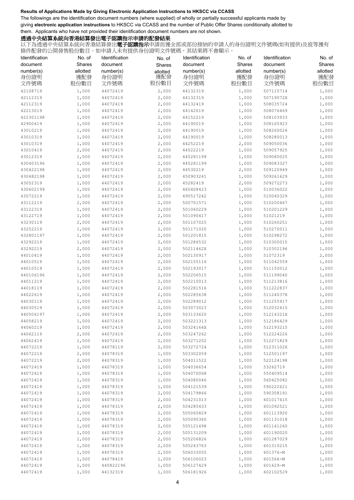The followings are the identification document numbers (where supplied) of wholly or partially successful applicants made by giving **electronic application instructions** to HKSCC via CCASS and the number of Public Offer Shares conditionally allotted to them. Applicants who have not provided their identification document numbers are not shown.

## 透過中央結算系統向香港結算發出電子認購指示申請的配發結果

| Identification | No. of   | Identification | No. of   | Identification | No. of   | Identification | No. of   |
|----------------|----------|----------------|----------|----------------|----------|----------------|----------|
| document       | Shares   | document       | Shares   | document       | Shares   | document       | Shares   |
| number(s)      | allotted | number(s)      | allotted | number(s)      | allotted | number(s)      | allotted |
| 身份證明           | 獲配發      | 身份證明           | 獲配發      | 身份證明           | 獲配發      | 身份證明           | 獲配發      |
| 文件號碼           | 股份數目     | 文件號碼           | 股份數目     | 文件號碼           | 股份數目     | 文件號碼           | 股份數目     |
| 42108719       | 1,000    | 44072419       | 2,000    | 44132319       | 1,000    | 507115714      | 1,000    |
| 42112319       | 1,000    | 44072419       | 2,000    | 44132319       | 1,000    | 50719072X      | 1,000    |
| 42112319       | 1,000    | 44072419       | 2,000    | 44132419       | 1,000    | 508035724      | 1,000    |
| 42213019       | 1,000    | 44072419       | 2,000    | 44142619       | 1,000    | 508076469      | 1,000    |
| 422301198      | 1,000    | 44072419       | 2,000    | 44152219       | 1,000    | 508103933      | 1,000    |
| 42900419       | 1,000    | 44072419       | 2,000    | 44190019       | 1,000    | 508165923      | 1,000    |
| 43010219       | 1,000    | 44072419       | 2,000    | 44190019       | 1,000    | 508260026      | 1,000    |
| 43010319       | 1,000    | 44072419       | 2,000    | 44190019       | 1,000    | 508280013      | 1,000    |
| 43010319       | 1,000    | 44072419       | 2,000    | 44252219       | 2,000    | 509050036      | 1,000    |
| 43010419       | 2,000    | 44072419       | 2,000    | 44522219       | 1,000    | 509057925      | 1,000    |
| 43012319       | 1,000    | 44072419       | 2,000    | 445281199      | 1,000    | 509080025      | 1,000    |
| 430403196      | 1,000    | 44072419       | 2,000    | 445281199      | 1,000    | 509083327      | 1,000    |
| 430422198      | 1,000    | 44072419       | 2,000    | 44530219       | 2,000    | 509120949      | 1,000    |
| 430482198      | 1,000    | 44072419       | 2,000    | 450903241      | 1,000    | 509261629      | 1,000    |
| 43052319       | 1,000    | 44072419       | 2,000    | 45282419       | 2,000    | 509272273      | 1,000    |
| 430602199      | 1,000    | 44072419       | 2,000    | 460408423      | 1,000    | 510036022      | 1,000    |
| 43072219       | 1,000    | 44072419       | 2,000    | 490517242      | 1,000    | 510040329      | 1,000    |
| 43112219       | 2,000    | 44072419       | 2,000    | 500701571      | 1,000    | 510200467      | 1,000    |
| 43122319       | 1,000    | 44072419       | 2,000    | 501060229      | 1,000    | 510201229      | 1,000    |
| 43122719       | 1,000    | 44072419       | 2,000    | 501090417      | 1,000    | 51021219       | 1,000    |
| 43230119       | 2,000    | 44072419       | 2,000    | 501107025      | 1,000    | 510260251      | 1,000    |
| 43252219       | 1,000    | 44072419       | 2,000    | 501171020      | 1,000    | 510270011      | 1,000    |
| 432801197      | 1,000    | 44072419       | 2,000    | 501201815      | 1,000    | 510298272      | 1,000    |
| 43292219       | 1,000    | 44072419       | 2,000    | 501286532      | 1,000    | 510300015      | 1,000    |
| 43292219       | 2,000    | 44072419       | 2,000    | 50211462X      | 1,000    | 510302196      | 1,000    |
| 44010419       | 1,000    | 44072419       | 2,000    | 502130917      | 1,000    | 51072319       | 2,000    |
| 44010519       | 1,000    | 44072419       | 2,000    | 502155116      | 1,000    | 511042559      | 1,000    |
| 44010519       | 1,000    | 44072419       | 2,000    | 502193017      | 1,000    | 511150012      | 1,000    |
| 440106196      | 1,000    | 44072419       | 2,000    | 502206515      | 1,000    | 511199040      | 1,000    |
| 44011219       | 1,000    | 44072419       | 2,000    | 502210013      | 1,000    | 511213816      | 1,000    |
| 44018119       | 1,000    | 44072419       | 2,000    | 502281516      | 1,000    | 511222837      | 1,000    |
| 44022619       | 1,000    | 44072419       | 2,000    | 502285638      | 1,000    | 511240378      | 1,000    |
| 44030119       | 1,000    | 44072419       | 2,000    | 502289012      | 1,000    | 511255917      | 1,000    |
| 44030519       | 1,000    | 44072419       | 2,000    | 503073023      | 1,000    | 512032415      | 1,000    |
| 440506197      | 1,000    | 44072419       | 2,000    | 503133620      | 1,000    | 51214321X      | 1,000    |
| 44058219       | 1,000    | 44072419       | 2,000    | 503221313      | 1,000    | 512186429      | 1,000    |
| 44060219       | 1,000    | 44072419       | 2,000    | 50324164X      | 1,000    | 512193215      | 1,000    |
| 44062119       | 2,000    | 44072419       | 2,000    | 503247262      | 1,000    | 512224226      | 1,000    |
| 44062419       | 1,000    | 44072419       | 2,000    | 503271202      | 1,000    | 512271829      | 1,000    |
| 44072219       | 1,000    | 44078119       | 2,000    | 503272724      | 1,000    | 51231102X      | 1,000    |
| 44072219       | 2,000    | 44078319       | 1,000    | 503302059      | 1,000    | 512501197      | 1,000    |
| 44072219       | 2,000    | 44078319       | 1,000    | 504011522      | 1,000    | 522124198      | 1,000    |
| 44072419       | 1,000    | 44078319       | 1,000    | 504036654      | 1,000    | 53262719       | 1,000    |
| 44072419       | 1,000    | 44078319       | 1,000    | 504070068      | 1,000    | 550409514      | 1,000    |
| 44072419       | 1,000    | 44078319       | 1,000    | 504080046      | 1,000    | 560425082      | 1,000    |
| 44072419       | 1,000    | 44078319       | 1,000    | 504121539      | 1,000    | 590222621      | 1,000    |
| 44072419       | 1,000    | 44078319       | 2,000    | 504179866      | 1,000    | 590308191      | 1,000    |
| 44072419       | 1,000    | 44078319       | 2,000    | 504231013      | 1,000    | 601017415      | 1,000    |
| 44072419       | 1,000    | 44078319       | 2,000    | 504285433      | 1,000    | 601092521      | 1,000    |
| 44072419       | 1,000    | 44078319       | 2,000    | 505060829      | 1,000    | 601113920      | 1,000    |
| 44072419       | 1,000    | 44078319       | 2,000    | 505090360      | 1,000    | 601131018      | 1,000    |
| 44072419       | 1,000    | 44078319       | 2,000    | 505121498      | 1,000    | 601141260      | 1,000    |
| 44072419       | 1,000    | 44078319       | 2,000    | 505131209      | 1,000    | 601190020      | 1,000    |
| 44072419       | 1,000    | 44078319       | 2,000    | 505206826      | 1,000    | 601287029      | 1,000    |
| 44072419       | 1,000    | 44078319       | 2,000    | 505243763      | 1,000    | 601310215      | 1,000    |
| 44072419       | 1,000    | 44078319       | 2,000    | 506033055      | 1,000    | 601376-M       | 1,000    |
| 44072419       | 1,000    | 44078419       | 1,000    | 506100023      | 1,000    | 601566-M       | 1,000    |
| 44072419       | 1,000    | 440822196      | 1,000    | 506127429      | 1,000    | 601629-M       | 1,000    |
| 44072419       | 1,000    | 44132319       | 1,000    | 506181926      | 1,000    | 602102529      | 1,000    |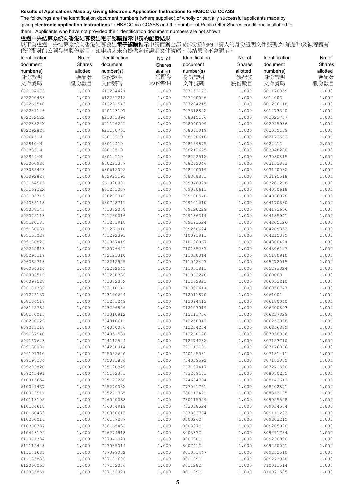The followings are the identification document numbers (where supplied) of wholly or partially successful applicants made by giving **electronic application instructions** to HKSCC via CCASS and the number of Public Offer Shares conditionally allotted to them. Applicants who have not provided their identification document numbers are not shown.

## 透過中央結算系統向香港結算發出電子認購指示申請的配發結果

| Identification | No. of   | Identification | No. of   | Identification | No. of   | Identification | No. of   |
|----------------|----------|----------------|----------|----------------|----------|----------------|----------|
| document       | Shares   | document       | Shares   | document       | Shares   | document       | Shares   |
| number(s)      | allotted | number(s)      | allotted | number(s)      | allotted | number(s)      | allotted |
| 身份證明           | 獲配發      | 身份證明           | 獲配發      | 身份證明           | 獲配發      | 身份證明           | 獲配發      |
| 文件號碼           | 股份數目     | 文件號碼           | 股份數目     | 文件號碼           | 股份數目     | 文件號碼           | 股份數目     |
| 602104073      |          |                |          |                |          |                |          |
|                | 1,000    | 61223442X      | 1,000    | 707153123      | 1,000    | 801170059      | 1,000    |
| 602200463      | 1,000    | 612251212      | 1,000    | 707200026      | 1,000    | 801200C        | 1,000    |
| 602262548      | 1,000    | 612291543      | 1,000    | 707284215      | 1,000    | 801266118      | 1,000    |
| 602281146      | 1,000    | 620103197      | 1,000    | 70731880X      | 1,000    | 801273320      | 1,000    |
| 602282522      | 1,000    | 621003394      | 1,000    | 708015176      | 1,000    | 802022757      | 1,000    |
| 60228824X      | 1,000    | 621126221      | 1,000    | 708040099      | 1,000    | 802025936      | 1,000    |
| 602292826      | 1,000    | 621130701      | 1,000    | 708071019      | 1,000    | 802055139      | 1,000    |
| 602645-M       | 1,000    | 63010319       | 1,000    | 708130618      | 1,000    | 802172682      | 1,000    |
| 602810-M       | 1,000    | 63010419       | 1,000    | 708159875      | 1,000    | 802291C        | 2,000    |
| 602833-M       | 1,000    | 63010519       | 1,000    | 708212625      | 1,000    | 803048280      | 1,000    |
| 602849-M       | 1,000    | 63012119       | 1,000    | 70822251X      | 1,000    | 803080815      | 1,000    |
| 603050924      | 1,000    | 630221377      | 1,000    | 708272046      | 1,000    | 803132873      | 1,000    |
| 603065423      | 1,000    | 630612002      | 1,000    | 708290019      | 1,000    | 80319003X      | 1,000    |
| 603092827      | 1,000    | 652925195      | 1,000    | 708308801      | 1,000    | 803195518      | 1,000    |
| 603154512      | 1,000    | 661020001      | 1,000    | 70904602X      | 1,000    | 803281268      | 1,000    |
| 60316922X      | 1,000    | 661203037      | 1,000    | 709080611      | 1,000    | 804050618      | 1,000    |
| 603192715      | 1,000    | 680202042      | 1,000    | 709100548      | 1,000    | 804066978      | 1,000    |
| 604085118      | 1,000    | 680728711      | 1,000    | 709101610      | 1,000    | 804170630      | 1,000    |
| 605038145      | 1,000    | 701052038      | 1,000    | 709120229      | 1,000    | 804172636      | 1,000    |
| 605075113      | 1,000    | 701250016      | 1,000    | 709186314      | 1,000    | 804185941      | 1,000    |
| 605120185      | 1,000    | 701251918      | 1,000    | 709193524      | 1,000    | 804205126      | 1,000    |
| 605130031      | 1,000    | 701261918      | 1,000    | 709250624      | 1,000    | 804209352      | 1,000    |
| 605155027      | 1,000    | 701292391      | 1,000    | 710091811      | 1,000    | 80421537X      | 1,000    |
| 605180826      | 1,000    | 702057419      | 1,000    | 710126867      | 1,000    | 80430042X      | 1,000    |
| 605222813      | 1,000    | 702076441      | 1,000    | 710185287      | 1,000    | 804306127      | 1,000    |
| 605295119      | 1,000    | 702121310      | 1,000    | 711030014      | 1,000    | 805180910      | 1,000    |
| 606062713      | 1,000    | 702212925      | 1,000    | 711042427      | 1,000    | 805272015      | 1,000    |
| 606064314      | 1,000    | 702262545      | 1,000    | 711051811      | 1,000    | 805293324      | 1,000    |
| 606092519      | 1,000    | 702288336      | 1,000    | 711063248      | 1,000    | 8060008        | 1,000    |
| 606097528      | 1,000    | 70305233X      | 1,000    | 711162821      | 1,000    | 806032210      | 1,000    |
| 606181389      | 1,000    | 703110141      | 1,000    | 71130261X      | 1,000    | 806050747      | 1,000    |
| 607275137      | 1,000    | 703150644      | 1,000    | 712011870      | 1,000    | 8061001        | 1,000    |
| 608104517      | 1,000    | 703201249      | 1,000    | 712094412      | 1,000    | 806180040      | 1,000    |
| 608145769      | 1,000    | 703296826      | 1,000    | 712107019      | 1,000    | 806200823      | 1,000    |
| 608170015      | 1,000    | 703310812      | 1,000    | 712113756      | 1,000    | 806237829      | 1,000    |
| 608200029      | 1,000    | 704010611      | 1,000    | 712250013      | 1,000    | 806252028      | 1,000    |
| 609083218      | 1,000    | 704050076      | 1,000    | 712254234      | 1,000    | 80625687X      | 1,000    |
| 609137940      | 1,000    | 70405153X      | 1,000    | 712260126      | 1,000    | 807020066      | 1,000    |
| 609157623      | 1,000    | 704112524      | 1,000    | 71227423X      | 1,000    | 807123710      | 1,000    |
| 60918003X      | 1,000    | 704280014      | 1,000    | 721113191      | 1,000    | 807176066      | 1,000    |
| 609191310      | 1,000    | 705052620      | 1,000    | 740125081      | 1,000    | 807181411      | 1,000    |
| 609198234      | 1,000    | 705081836      | 1,000    | 754039592      | 1,000    | 80718285X      | 1,000    |
| 609203820      | 1,000    | 705120829      | 1,000    | 767137417      | 1,000    | 807272520      | 1,000    |
| 609243491      | 1,000    | 705162371      | 1,000    | 773209101      | 1,000    | 808050235      | 1,000    |
| 610015654      | 1,000    | 705173256      | 1,000    | 774634794      | 1,000    | 808143612      | 1,000    |
| 610021437      | 1,000    | 70527003X      | 1,000    | 777001751      | 1,000    | 808202821      | 1,000    |
| 61007291X      | 1,000    | 705271865      | 1,000    | 780113421      | 1,000    | 808313125      | 1,000    |
| 610113195      | 1,000    | 706020068      | 1,000    | 780115929      | 1,000    | 809025528      | 1,000    |
| 610134618      | 1,000    | 706074919      | 1,000    | 783038524      | 1,000    | 809034584      | 1,000    |
| 610160433      | 1,000    | 706080612      | 1,000    | 787883784      | 1,000    | 809111222      | 1,000    |
| 610200016      | 1,000    | 706137237      | 1,000    | 800326C        | 1,000    | 80920321X      | 1,000    |
| 610300787      | 1,000    | 706165433      | 1,000    | 800327C        | 1,000    | 809205920      | 1,000    |
| 610423199      | 1,000    | 706274918      | 1,000    | 800337C        | 1,000    | 809211734      | 1,000    |
| 611071334      | 1,000    | 70704192X      | 1,000    | 800730C        | 1,000    | 809230920      | 1,000    |
| 611112448      | 1,000    | 707085014      | 1,000    | 800741C        | 1,000    | 809250021      | 1,000    |
| 611171685      | 1,000    | 707099032      | 1,000    | 801051447      | 1,000    | 809252510      | 1,000    |
| 611185833      | 1,000    | 707101606      | 1,000    | 801109C        | 1,000    | 809273928      | 1,000    |
| 612060063      | 1,000    | 707102076      | 1,000    | 801128C        | 1,000    | 810011514      | 1,000    |
| 612085851      | 1,000    | 70715202X      | 1,000    | 801129C        | 1,000    | 810071585      | 1,000    |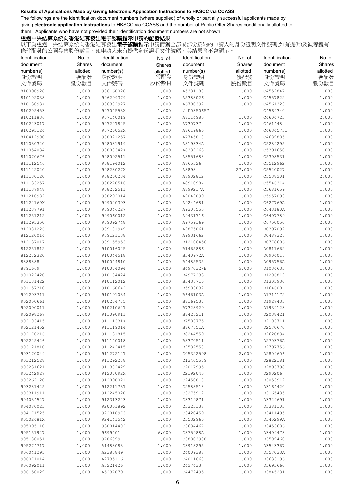The followings are the identification document numbers (where supplied) of wholly or partially successful applicants made by giving **electronic application instructions** to HKSCC via CCASS and the number of Public Offer Shares conditionally allotted to them. Applicants who have not provided their identification document numbers are not shown.

## 透過中央結算系統向香港結算發出電子認購指示申請的配發結果

| Identification         | No. of             | Identification         | No. of             | Identification        | No. of             | Identification        | No. of             |
|------------------------|--------------------|------------------------|--------------------|-----------------------|--------------------|-----------------------|--------------------|
| document<br>number(s)  | Shares<br>allotted | document<br>number(s)  | Shares<br>allotted | document<br>number(s) | Shares<br>allotted | document<br>number(s) | Shares<br>allotted |
| 身份證明                   | 獲配發                | 身份證明                   | 獲配發                | 身份證明                  | 獲配發                | 身份證明                  | 獲配發                |
| 文件號碼                   | 股份數目               | 文件號碼                   | 股份數目               | 文件號碼                  | 股份數目               | 文件號碼                  | 股份數目               |
| 810090928              | 1,000              | 906160028              | 1,000              | A5331180              | 1,000              | C4552847              | 1,000              |
| 810102038              | 1,000              | 906299379              | 1,000              | A5388026              | 1,000              | C4557822              | 1,000              |
| 81013093X              | 1,000              | 906302927              | 1,000              | A6700392              | 1,000              | C4561323              | 1,000              |
| 810205453              | 1,000              | 90704553X              | 1,000              | / D0350657            |                    | C4569340              | 1,000              |
| 810211836              | 1,000              | 907140019              | 1,000              | A7114985              | 1,000              | C4604723              | 2,000              |
| 810243017              | 1,000              | 907207845              | 1,000              | A730737               | 1,000              | C461448               | 1,000              |
| 810295124              | 1,000              | 90726052X              | 1,000              | A7619866              | 1,000              | C46345751             | 1,000              |
| 810412900              | 1,000              | 908021257              | 1,000              | A7745810              | 1,000              | C4689885              | 1,000              |
| 811030320              | 1,000              | 908031919              | 1,000              | A819334A              | 1,000              | C5289295              | 1,000              |
| 811054034<br>811070676 | 1,000<br>1,000     | 90808342X<br>908092511 | 1,000<br>1,000     | A8339263<br>A8551688  | 1,000              | C5391650<br>C5398531  | 1,000<br>1,000     |
| 811112546              | 1,000              | 908194012              | 1,000              | A865526               | 1,000<br>1,000     | C5512962              | 1,000              |
| 811122020              | 1,000              | 90823027X              | 1,000              | A8898                 | 27,000             | C5520027              | 1,000              |
| 811130120              | 1,000              | 908260234              | 1,000              | A8902812              | 1,000              | C5538201              | 2,000              |
| 811133257              | 1,000              | 908270516              | 1,000              | A891098A              | 1,000              | C554631A              | 1,000              |
| 811137948              | 1,000              | 908272511              | 1,000              | A899217A              | 1,000              | C5681659              | 1,000              |
| 811210982              | 1,000              | 908292014              | 1,000              | A9049099              | 1,000              | C5957093              | 1,000              |
| 81122169X              | 1,000              | 909020393              | 1,000              | A9244681              | 1,000              | C627769A              | 1,000              |
| 811237791              | 1,000              | 909046227              | 1,000              | A9306555              | 1,000              | C643180A              | 1,000              |
| 811251212              | 1,000              | 909060012              | 1,000              | A9431716              | 1,000              | C6497789              | 1,000              |
| 811295350              | 1,000              | 909092748              | 1,000              | A9759169              | 1,000              | C6750050              | 2,000              |
| 812081226              | 1,000              | 909101949              | 1,000              | A9875061              | 1,000              | D0397092              | 1,000              |
| 812120014              | 1,000              | 909121138              | 1,000              | A9931662              | 1,000              | D0487326              | 1,000              |
| 812137017              | 1,000              | 909155953              | 1,000              | B12106456             | 1,000              | D0778606              | 1,000              |
| 812251812              | 1,000              | 910016025              | 1,000              | B1465886              | 1,000              | D0811662              | 1,000              |
| 812272320              | 1,000              | 910044518              | 1,000              | B340972A              | 1,000              | D0904016              | 1,000              |
| 8888888                | 1,000              | 910044810              | 1,000              | B4485535              | 1,000              | D095756A              | 1,000              |
| 8891669                | 1,000              | 910074094              | 1,000              | B497032/E             | 5,000              | D1034635              | 1,000              |
| 901022420              | 1,000              | 910104424              | 1,000              | B4977233              | 1,000              | D1206819              | 1,000              |
| 901131422              | 1,000              | 910112012              | 1,000              | B5436716              | 1,000              | D1305930              | 1,000              |
| 901157310              | 1,000              | 910160642              | 1,000              | B5983032              | 1,000              | D164600               | 1,000              |
| 901293711              | 1,000              | 910191034              | 1,000              | B646103A              | 1,000              | D1714172              | 1,000              |
| 902050661              | 1,000              | 910204775              | 1,000              | B7169537              | 1,000              | D1927435              | 1,000              |
| 902090011              | 1,000              | 910210627              | 1,000              | B7328929              | 1,000              | D1939123              | 1,000              |
| 902098267              | 1,000              | 911090911              | 1,000              | B7426211              | 1,000              | D2038421              | 1,000              |
| 902103415              | 1,000              | 91111331X              | 1,000              | B7583775              | 1,000              | D2103711              | 1,000              |
| 902121452              | 1,000              | 911119014              | 1,000              | B767651A              | 1,000              | D2570670              | 1,000              |
| 902170216              | 1,000              | 911131815              | 1,000              | B8244559              | 1,000              | D262083A              | 1,000              |
| 902225426              | 1,000              | 911140018              | 1,000              | B8370511              | 1,000              | D270376A              | 1,000              |
| 903121810              | 1,000              | 911242415              | 1,000              | B9532558              | 1,000              | D2797756              | 1,000              |
| 903170049              | 1,000              | 911272127              | 1,000              | C05322598             | 2,000              | D2809606              | 1,000              |
| 903212528              | 1,000              | 911292278              | 1,000              | C13405579             | 1,000              | D2822181              | 1,000              |
| 903231621              | 1,000              | 911302429              | 1,000              | C2017995              | 1,000              | D2893798              | 1,000              |
| 903242927              | 1,000              | 91207092X              | 1,000              | C2192045              | 1,000              | D290206               | 1,000              |
| 903262120              | 1,000              | 912090021              | 1,000              | C2450818              | 1,000              | D3053912              | 1,000              |
| 903281425              | 1,000              | 912211737              | 1,000              | C2588518              | 1,000              | D3164420              | 1,000              |
| 903311911              | 1,000              | 912245020              | 1,000              | C3275912              | 1,000              | D3165435              | 1,000              |
| 904034527              | 1,000              | 912313243              | 1,000              | C3319871              | 1,000              | D3329691              | 1,000              |
| 904080023              | 1,000              | 920061892              | 1,000              | C3325138              | 1,000              | D3381103              | 1,000              |
| 904171525              | 1,000              | 922018973              | 1,000              | C3420459              | 1,000              | D3411495              | 1,000              |
| 90502481X              | 1,000              | 924141542              | 1,000              | C3532966              | 1,000              | D345299A              | 1,000              |
| 905095110              | 1,000              | 930014402              | 1,000              | C3634467              | 1,000              | D3453686              | 1,000              |
| 905151927              | 1,000              | 9699401                | 6,000              | C375988A              | 1,000              | D3499473              | 1,000              |
| 905180051              | 1,000              | 9786099                | 1,000              | C38803988             | 1,000              | D3509460              | 1,000              |
| 905274717              | 1,000              | A1483083               | 1,000              | C3918295              | 1,000              | D3543367              | 1,000              |
| 906041295              | 1,000              | A2380849               | 1,000              | C4009388              | 1,000              | D357033A              | 1,000              |
| 906071014              | 1,000              | A2735116               | 1,000              | C4011668              | 1,000              | D3633196              | 1,000              |
| 906092011              | 1,000              | A3221426               | 1,000              | C427433               | 1,000              | D3693660              | 1,000              |
| 906150029              | 1,000              | A5237079               | 1,000              | C4472495              | 1,000              | D3845231              | 1,000              |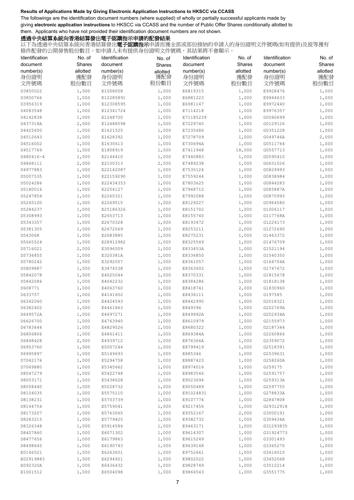The followings are the identification document numbers (where supplied) of wholly or partially successful applicants made by giving **electronic application instructions** to HKSCC via CCASS and the number of Public Offer Shares conditionally allotted to them. Applicants who have not provided their identification document numbers are not shown.

## 透過中央結算系統向香港結算發出電子認購指示申請的配發結果

| Identification        | No. of             | Identification         | No. of             | Identification        | No. of             | Identification        | No. of             |
|-----------------------|--------------------|------------------------|--------------------|-----------------------|--------------------|-----------------------|--------------------|
| document<br>number(s) | Shares<br>allotted | document<br>number(s)  | Shares<br>allotted | document<br>number(s) | Shares<br>allotted | document<br>number(s) | Shares<br>allotted |
| 身份證明                  | 獲配發                | 身份證明                   | 獲配發<br>股份數目        | 身份證明                  | 獲配發                | 身份證明                  | 獲配發                |
| 文件號碼                  | 股份數目               | 文件號碼                   |                    | 文件號碼                  | 股份數目               | 文件號碼                  | 股份數目               |
| D3850022              | 1,000              | E1008008               | 1,000              | E6819315              | 1,000              | E9928476              | 1,000              |
| D3850766<br>D3956319  | 1,000<br>1,000     | E12285891              | 1,000              | E6881223              | 1,000              | E9944633              | 1,000              |
| D4083548              | 1,000              | E12308595<br>E12341724 | 1,000<br>1,000     | E6981147<br>E7114218  | 1,000<br>1,000     | E9972440<br>E9976357  | 1,000<br>1,000     |
| D4142838              | 1,000              | E1248700               | 1,000              | E71185239             | 1,000              | G0040699              | 1,000              |
| D437318A              | 2,000              | E12488598              | 1,000              | E7229740              | 1,000              | G0129126              | 1,000              |
| D4425600              | 1,000              | E1621525               | 1,000              | E7235686              | 1,000              | G0351228              | 1,000              |
| D4512643              | 1,000              | E1628392               | 1,000              | E7278709              | 1,000              | G049746A              | 2,000              |
| D4516002              | 1,000              | E1630613               | 1,000              | E730694A              | 1,000              | G0511764              | 1,000              |
| D4517769              | 1,000              | E1808919               | 1,000              | E7411948              | 18,000             | G0557713              | 1,000              |
| D480416-4             | 1,000              | E2144410               | 1,000              | E7440883              | 1,000              | G0595410              | 1,000              |
| D4868111              | 2,000              | E2150313               | 2,000              | E7489238              | 1,000              | G0631026              | 1,000              |
| D4977883              | 1,000              | E22142087              | 1,000              | E7535124              | 1,000              | G0829993              | 1,000              |
| D5007535              | 1,000              | E22159290              | 1,000              | E7559244              | 1,000              | G0838984              | 1,000              |
| D5024286              | 1,000              | E22434353              | 1,000              | E7803625              | 1,000              | G0844283              | 1,000              |
| D5180016              | 1,000              | E2254127               | 1,000              | E7948712              | 1,000              | G085887A              | 1,000              |
| D5247854              | 1,000              | E2260321               | 1,000              | E7992088              | 1,000              | G0870993              | 1,000              |
| D5265100              | 1,000              | E2269515               | 1,000              | E8129227              | 1,000              | G0964580              | 1,000              |
| D5284237              | 1,000              | E25186326              | 1,000              | E8151702              | 1,000              | G1006117              | 1,000              |
| D5308993              | 1,000              | E2653713               | 1,000              | E8155740              | 1,000              | G117768A              | 1,000              |
| D5343357              | 1,000              | E2670328               | 1,000              | E8193472              | 1,000              | G1224173              | 1,000              |
| D5381305              | 1,000              | E2672069               | 1,000              | E8253211              | 2,000              | G1272690              | 1,000              |
| D543068               | 1,000              | E2683885               | 1,000              | E8275231              | 1,000              | G1463372              | 1,000              |
| D5665524<br>D5716021  | 1,000<br>2,000     | E28912982<br>E3096509  | 1,000<br>1,000     | E8325549<br>E833453A  | 1,000<br>1,000     | G1476709<br>G1521194  | 1,000<br>1,000     |
| D5736855              | 1,000              | E320381A               | 1,000              | E8336850              | 1,000              | G1540350              | 1,000              |
| D5780242              | 1,000              | E3292057               | 1,000              | E8361057              | 1,000              | G164704A              | 1,000              |
| D5809887              | 1,000              | E3474538               | 1,000              | E8363602              | 1,000              | G1747672              | 1,000              |
| D5842078              | 1,000              | E4025044               | 1,000              | E8370331              | 1,000              | G1815678              | 1,000              |
| D5842086              | 1,000              | E4042232               | 1,000              | E8384286              | 1,000              | G1818138              | 1,000              |
| D608771               | 1,000              | E4063760               | 1,000              | E8418741              | 2,000              | G1830960              | 1,000              |
| D633757               | 1,000              | E4141602               | 1,000              | E8436111              | 1,000              | G197585               | 1,000              |
| D6342060              | 1,000              | E4424593               | 1,000              | E8442995              | 1,000              | G2018321              | 1,000              |
| D6382402              | 1,000              | E4461863               | 1,000              | E849396               | 1,000              | G202769A              | 1,000              |
| D649572A              | 1,000              | E4697271               | 1,000              | E849992A              | 1,000              | G202934A              | 1,000              |
| D6626700              | 1,000              | E4763940               | 1,000              | E8610979              | 1,000              | G2155973              | 1,000              |
| D6783644              | 1,000              | E4829526               | 1,000              | E8680322              | 1,000              | G2187344              | 1,000              |
| D6806806              | 1,000              | E4861411               | 1,000              | E869384A              | 1,000              | G2260866              | 1,000              |
| D6848428              | 2,000              | E4939712               | 1,000              | E876366A              | 1,000              | G2359072              | 1,000              |
| D6953760              | 1,000              | E5007244               | 1,000              | E8799419              | 1,000              | G2518391              | 1,000              |
| D6995897<br>D7042176  | 1,000<br>1,000     | E5149693<br>E5294758   | 1,000<br>1,000     | E885346<br>E8887423   | 1,000<br>1,000     | G2539631<br>G258260A  | 1,000<br>1,000     |
| D7069880              | 1,000              | E5345662               | 1,000              | E8974016              | 1,000              | G259175               | 1,000              |
| D8047279              | 1,000              | E5422748               | 1,000              | E8983546              | 1,000              | G2591757              | 1,000              |
| D8053171              | 1,000              | E5438628               | 1,000              | E9023694              | 1,000              | G259313A              | 1,000              |
| D8058440              | 1,000              | E5528732               | 1,000              | E9050489              | 1,000              | G2597755              | 1,000              |
| D8104035              | 1,000              | E5575110               | 1,000              | E91024831             | 1,000              | G278833A              | 1,000              |
| D8138231              | 1,000              | E5703739               | 1,000              | E9107774              | 1,000              | G2847808              | 1,000              |
| D8144754              | 1,000              | E5759041               | 1,000              | E9217456              | 1,000              | G29312918             | 1,000              |
| D8173207              | 1,000              | E5763065               | 1,000              | E9352167              | 2,000              | G3000191              | 1,000              |
| D8283215              | 1,000              | E5779425               | 1,000              | E9382732              | 1,000              | G309434A              | 1,000              |
| D8326348              | 1,000              | E5914586               | 1,000              | E9463171              | 1,000              | G31293835             | 1,000              |
| D8407860              | 1,000              | E6071302               | 1,000              | E9614307              | 1,000              | G31924773             | 1,000              |
| D8477656              | 1,000              | E6179863               | 1,000              | E9615249              | 1,000              | G3301493              | 1,000              |
| D8498645              | 1,000              | E6190743               | 1,000              | E9639148              | 1,000              | G3365270              | 1,000              |
| E0146521              | 1,000              | E6263651               | 1,000              | E9752661              | 1,000              | G3416010              | 1,000              |
| E02919883             | 1,000              | E6294921               | 1,000              | E9802022              | 1,000              | G3452068              | 1,000              |
| E092320A<br>E1001512  | 1,000<br>1,000     | E6436432<br>E6504098   | 1,000<br>1,000     | E9828749<br>E9866543  | 1,000<br>1,000     | G3512214<br>G3551775  | 1,000<br>1,000     |
|                       |                    |                        |                    |                       |                    |                       |                    |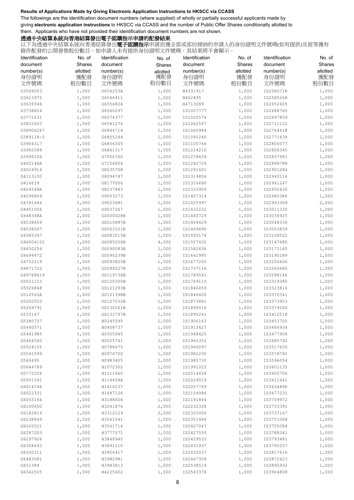The followings are the identification document numbers (where supplied) of wholly or partially successful applicants made by giving **electronic application instructions** to HKSCC via CCASS and the number of Public Offer Shares conditionally allotted to them. Applicants who have not provided their identification document numbers are not shown.

## 透過中央結算系統向香港結算發出電子認購指示申請的配發結果

| Identification | No. of   | Identification | No. of   | Identification | No. of   | Identification | No. of   |
|----------------|----------|----------------|----------|----------------|----------|----------------|----------|
| document       | Shares   | document       | Shares   | document       | Shares   | document       | Shares   |
| number(s)      | allotted | number(s)      | allotted | number(s)      | allotted | number(s)      | allotted |
| 身份證明           | 獲配發      | 身份證明           | 獲配發      | 身份證明           | 獲配發      | 身份證明           | 獲配發      |
| 文件號碼           | 股份數目     | 文件號碼           | 股份數目     | 文件號碼           | 股份數目     | 文件號碼           | 股份數目     |
| G3569003       | 1,000    | G654253A       | 1,000    | H4331917       | 1,000    | IS2580718      | 1,000    |
| G3613975       | 1,000    | G6546411       | 1,000    | H462495        | 1,000    | IS2585268      | 1,000    |
| G3639346       | 1,000    | G6556824       | 1,000    | H4713089       | 1,000    | IS2652605      | 1,000    |
| G3738824       | 1,000    | G6565297       | 1,000    | IS1007777      | 1,000    | IS2688765      | 1,000    |
| G3771031       | 1,000    | G6574377       | 1,000    | IS1020574      | 1,000    | IS2697859      | 1,000    |
| G3825603       | 1,000    | G6581276       | 1,000    | IS1062557      | 1,000    | IS2711122      | 1,000    |
| G38906267      | 1,000    | G6844714       | 1,000    | IS1065984      | 1,000    | IS2764418      | 1,000    |
| G389118-5      | 1,000    | G6855244       | 1,000    | IS1091240      | 1,000    | IS2771639      | 1,000    |
| G3904317       | 1,000    | G6856305       | 1,000    | IS1105766      | 1,000    | IS2806077      | 1,000    |
| G3992089       | 1,000    | G6861317       | 1,000    | IS1224210      | 1,000    | IS2806345      | 1,000    |
| G3996106       | 1,000    | G7056760       | 1,000    | IS1278639      | 1,000    | IS2837981      | 1,000    |
| G402146A       | 1,000    | G7156854       | 1,000    | IS1282726      | 1,000    | IS2868788      | 1,000    |
| G4024914       | 1,000    | G8035708       | 1,000    | IS1291601      | 1,000    | IS2901284      | 1,000    |
| G4113100       | 1,000    | G8094747       | 1,000    | IS1319806      | 1,000    | IS2940116      | 1,000    |
| G416639        | 1,000    | G8177006       | 1,000    | IS1326690      | 1,000    | IS2941247      | 1,000    |
| G424549A       | 1,000    | G8237483       | 1,000    | IS1333909      | 1,000    | IS2952430      | 1,000    |
| G4296809       | 1,000    | G9003273       | 1,000    | IS1407314      | 1,000    | IS2980386      | 1,000    |
| G4391666       | 1,000    | G9023681       | 1,000    | IS1425997      | 1,000    | IS2993369      | 2,000    |
| G4451006       | 1,000    | G9037267       | 1,000    | IS1432232      | 1,000    | IS3011330      | 1,000    |
| G448348A       | 2,000    | GS000028B      | 1,000    | IS1460729      | 1,000    | IS3036925      | 1,000    |
| G4538659       | 1,000    | GS015887B      | 1,000    | IS1464429      | 1,000    | IS3048336      | 1,000    |
| G4538667       | 1,000    | GS063101B      | 1,000    | IS1469690      | 1,000    | IS3053839      | 1,000    |
| G4585347       | 1,000    | GS083515B      | 1,000    | IS1493174      | 1,000    | IS3108522      | 1,000    |
| G46004122      | 1,000    | GS085056B      | 4,000    | IS1557432      | 1,000    | IS3147680      | 1,000    |
| G4650254       | 1,000    | GS090083B      | 1,000    | IS1582636      | 1,000    | IS3173145      | 1,000    |
| G4694472       | 1,000    | GS090239B      | 2,000    | IS1662995      | 1,000    | IS3190189      | 1,000    |
| G4752219       | 1,000    | GS093825B      | 1,000    | IS1677205      | 1,000    | IS3206606      | 1,000    |
| G4871722       | 1,000    | GS099227B      | 1,000    | IS1737116      | 1,000    | IS3260682      | 1,000    |
| G49768619      | 1,000    | GS119736B      | 1,000    | IS1749541      | 1,000    | IS3298146      | 1,000    |
| G5021153       | 1,000    | GS120305B      | 1,000    | IS1769115      | 1,000    | IS3319385      | 1,000    |
| G5026848       | 1,000    | GS121293B      | 1,000    | IS1846059      | 1,000    | IS3323816      | 1,000    |
| G512565A       | 1,000    | GS121398B      | 1,000    | IS1846400      | 1,000    | IS3370341      | 1,000    |
| G5200503       | 1,000    | GS127032B      | 1,000    | IS1873881      | 1,000    | IS3373953      | 1,000    |
| G5269791       | 1,000    | GS130261B      | 1,000    | IS1890016      | 1,000    | IS3379200      | 1,000    |
| G533167        | 1,000    | GS132797B      | 1,000    | IS1895241      | 1,000    | IS3412518      | 1,000    |
| G5380757       | 1,000    | H0245595       | 1,000    | IS1906163      | 1,000    | IS3453705      | 1,000    |
| G5440571       | 1,000    | H0408737       | 1,000    | IS1913427      | 1,000    | IS3466934      | 1,000    |
| G5441985       | 1,000    | H0505945       | 1,000    | IS1948425      | 1,000    | IS3477958      | 1,000    |
| G5464500       | 1,000    | H0525741       | 2,000    | IS1960352      | 1,000    | IS3485792      | 1,000    |
| G5524155       | 1,000    | H0788475       | 1,000    | IS1966097      | 1,000    | IS3517630      | 1,000    |
| G5541599       | 1,000    | H0976700       | 1,000    | IS1982230      | 1,000    | IS3578792      | 1,000    |
| G560495        | 2,000    | H0983405       | 2,000    | IS1985730      | 1,000    | IS3596054      | 1,000    |
| G5644789       | 1,000    | H1072302       | 1,000    | IS1991023      | 1,000    | IS3601135      | 1,000    |
| G5772256       | 1,000    | H1111665       | 1,000    | IS2014434      | 1,000    | IS3605706      | 1,000    |
| G5931591       | 1,000    | H114458A       | 1,000    | IS2029019      | 1,000    | IS3611641      | 1,000    |
| G6014746       | 2,000    | H1416237       | 1,000    | IS2057749      | 1,000    | IS3634896      | 1,000    |
| G6022331       | 1,000    | H1487126       | 1,000    | IS2154086      | 1,000    | IS3677231      | 1,000    |
| G6053164       | 1,000    | H3188606       | 1,000    | IS2191844      | 1,000    | IS3709972      | 1,000    |
| G6100650       | 1,000    | H3241876       | 2,000    | IS2232328      | 1,000    | IS3733391      | 1,000    |
| G6182819       | 1,000    | H3312129       | 2,000    | IS2325000      | 1,000    | IS3737167      | 1,000    |
| G6238849       | 2,000    | H3561641       | 1,000    | IS2351466      | 1,000    | IS3753368      | 1,000    |
| G6265021       | 1,000    | H3561714       | 1,000    | IS2427047      | 1,000    | IS3755084      | 1,000    |
| G6287203       | 1,000    | H3777571       | 1,000    | IS2427550      | 1,000    | IS3788341      | 1,000    |
| G6297926       | 1,000    | H3848940       | 1,000    | IS2429533      | 1,000    | IS3793481      | 1,000    |
| G6308693       | 1,000    | H3891110       | 1,000    | IS2431937      | 1,000    | IS3795257      | 1,000    |
| G6330311       | 1,000    | H3956417       | 1,000    | IS2432037      | 1,000    | IS3817616      | 1,000    |
| G6483681       | 1,000    | H3982981       | 1,000    | IS2467359      | 1,000    | IS3872423      | 1,000    |
| G651384        | 1,000    | H3983813       | 1,000    | IS2538519      | 1,000    | IS3895932      | 1,000    |
| G6542505       | 1,000    | H4225602       | 1,000    | IS2543376      | 1,000    | IS3904808      | 1,000    |
|                |          |                |          |                |          |                |          |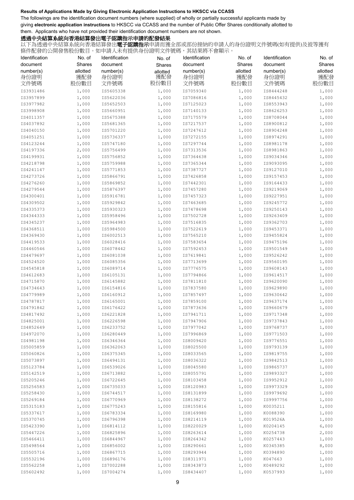The followings are the identification document numbers (where supplied) of wholly or partially successful applicants made by giving **electronic application instructions** to HKSCC via CCASS and the number of Public Offer Shares conditionally allotted to them. Applicants who have not provided their identification document numbers are not shown.

## 透過中央結算系統向香港結算發出電子認購指示申請的配發結果

| Identification | No. of   | Identification | No. of   | Identification | No. of   | Identification | No. of   |
|----------------|----------|----------------|----------|----------------|----------|----------------|----------|
| document       | Shares   | document       | Shares   | document       | Shares   | document       | Shares   |
| number(s)      | allotted | number(s)      | allotted | number(s)      | allotted | number(s)      | allotted |
| 身份證明           | 獲配發      | 身份證明           | 獲配發      | 身份證明           | 獲配發      | 身份證明           | 獲配發      |
| 文件號碼           | 股份數目     | 文件號碼           | 股份數目     | 文件號碼           | 股份數目     | 文件號碼           | 股份數目     |
|                |          |                |          |                |          |                |          |
| IS3931486      | 1,000    | IS5605338      | 1,000    | IS7059340      | 1,000    | IS8444248      | 1,000    |
| IS3957899      | 1,000    | IS5622036      | 1,000    | IS7086816      | 1,000    | IS8445432      | 1,000    |
| IS3977982      | 1,000    | IS5652503      | 1,000    | IS7125023      | 1,000    | IS8553943      | 1,000    |
| IS3998908      | 1,000    | IS5660951      | 1,000    | IS7140133      | 1,000    | IS8626253      | 1,000    |
| IS4011357      | 1,000    | IS5675388      | 1,000    | IS7175579      | 1,000    | IS8708044      | 1,000    |
| IS4037892      | 1,000    | IS5681365      | 1,000    | IS7217537      | 1,000    | IS8900812      | 1,000    |
| IS4040150      | 1,000    | IS5701220      | 1,000    | IS7247612      | 1,000    | IS8904248      | 1,000    |
| IS4051251      | 1,000    | IS5736337      | 1,000    | IS7272155      | 1,000    | IS8974291      | 1,000    |
| IS4123244      | 1,000    | IS5747180      | 1,000    | IS7297744      | 1,000    | IS8981178      | 1,000    |
| IS4197336      | 2,000    | IS5756499      | 1,000    | IS7313536      | 1,000    | IS8981863      | 1,000    |
| IS4199931      | 1,000    | IS5756852      | 1,000    | IS7364638      | 1,000    | IS9034346      | 1,000    |
| IS4218798      | 1,000    | IS5759988      | 1,000    | IS7365344      | 1,000    | IS9093095      | 1,000    |
| IS4241147      | 1,000    | IS5771853      | 1,000    | IS7387727      | 1,000    | IS9127010      | 1,000    |
| IS4273726      | 1,000    | IS5866791      | 1,000    | IS7426858      | 1,000    | IS9157453      | 1,000    |
| IS4276260      | 1,000    | IS5869852      | 1,000    | IS7442301      | 1,000    | IS9164433      | 1,000    |
| IS4279544      | 1,000    | IS5876397      | 1,000    | IS7457280      | 1,000    | IS9219069      | 1,000    |
| IS4300401      | 1,000    | IS5916781      | 1,000    | IS7457323      | 1,000    | IS9227951      | 1,000    |
| IS4309502      | 1,000    | IS5929842      | 1,000    | IS7463685      | 1,000    | IS9245772      | 1,000    |
| IS4335373      | 1,000    | IS5930323      | 1,000    | IS7478698      | 1,000    | IS9250143      | 1,000    |
| IS4344333      | 1,000    | IS5958496      | 1,000    | IS7502728      | 1,000    | IS9263409      | 1,000    |
| IS4345237      | 1,000    | IS5964983      | 1,000    | IS7516835      | 1,000    | IS9362703      | 1,000    |
| IS4368511      | 1,000    | IS5984500      | 1,000    | IS7522619      | 1,000    | IS9453371      | 1,000    |
| IS4369430      | 1,000    | IS6002513      | 1,000    | IS7565210      | 1,000    | IS9455824      | 1,000    |
| IS4419533      | 1,000    | IS6028416      | 1,000    | IS7583654      | 1,000    | IS9475196      | 1,000    |
| IS4460546      | 1,000    | IS6078442      | 1,000    | IS7592453      | 1,000    | IS9501549      | 1,000    |
| IS4479697      | 1,000    | IS6081038      | 1,000    | IS7619841      | 1,000    | IS9526242      | 1,000    |
| IS4524520      | 1,000    | IS6085356      | 1,000    | IS7713699      | 1,000    | IS9560195      | 1,000    |
| IS4545818      | 1,000    | IS6089714      | 1,000    | IS7776575      | 1,000    | IS9608143      | 1,000    |
| IS4612683      | 1,000    | IS6105131      | 1,000    | IS7794866      | 1,000    | IS9614517      | 1,000    |
| IS4715870      | 1,000    | IS6145882      | 1,000    | IS7811810      | 1,000    | IS9620090      | 1,000    |
| IS4734643      | 1,000    | IS6154816      | 1,000    | IS7837580      | 1,000    | IS9629890      | 1,000    |
| IS4779989      | 1,000    | IS6160912      | 1,000    | IS7857497      | 1,000    | IS9630642      | 1,000    |
| IS4787817      | 1,000    | IS6165001      | 1,000    | IS7859100      | 1,000    | IS9637174      | 1,000    |
| IS4791842      | 1,000    | IS6176422      | 1,000    | IS7873636      | 1,000    | IS9660679      | 1,000    |
| IS4817492      | 1,000    | IS6221828      | 1,000    | IS7941711      | 1,000    | IS9717348      | 1,000    |
| IS4825001      | 1,000    | IS6226598      | 1,000    | IS7947906      | 1,000    | IS9737843      | 1,000    |
| IS4852649      | 1,000    | IS6233752      | 1,000    | IS7977042      | 1,000    | IS9768737      | 1,000    |
| IS4972070      | 1,000    | IS6280449      | 1,000    | IS7996869      | 1,000    | IS9771503      | 1,000    |
| IS4981198      | 1,000    | IS6346364      | 1,000    | IS8009420      | 1,000    | IS9776551      | 1,000    |
| IS5005859      | 1,000    | IS6362063      | 1,000    | IS8025500      | 1,000    | IS9793139      | 1,000    |
| IS5060826      | 1,000    | IS6375345      | 1,000    | IS8033565      | 1,000    | IS9819755      | 1,000    |
| IS5073897      | 1,000    | IS6494131      | 1,000    | IS8036322      | 1,000    | IS9842513      | 1,000    |
| IS5123784      | 1,000    | IS6539026      | 1,000    | IS8045580      | 1,000    | IS9865737      | 1,000    |
| IS5142519      | 1,000    | IS6713882      | 1,000    | IS8055791      | 1,000    | IS9893327      | 1,000    |
| IS5205246      | 1,000    | IS6722645      | 1,000    | IS8103458      | 1,000    | IS9952912      | 1,000    |
| IS5256583      | 1,000    | IS6735033      | 1,000    | IS8120983      | 1,000    | IS9973329      | 1,000    |
| IS5258430      | 1,000    | IS6744517      | 1,000    | IS8131899      | 1,000    | IS9979692      | 1,000    |
| IS5269184      | 1,000    | IS6770969      | 1,000    | IS8138272      | 1,000    | IS9997756      | 1,000    |
| IS5315183      | 1,000    | IS6775243      | 1,000    | IS8155816      | 1,000    | K0035211       | 1,000    |
| IS5337617      | 1,000    | IS6783334      | 1,000    | IS8169980      | 1,000    | K0088390       | 1,000    |
| IS5370745      | 1,000    | IS6796398      | 1,000    | IS8214119      | 1,000    | K019526A       | 1,000    |
| IS5423390      | 1,000    | IS6814112      | 1,000    | IS8220029      | 1,000    | K0204145       | 6,000    |
| IS5447226      | 1,000    | IS6825896      | 1,000    | IS8263614      | 1,000    | K0254738       | 2,000    |
| IS5466411      | 1,000    | IS6844967      | 1,000    | IS8264342      | 1,000    | K0257443       | 1,000    |
| IS5498564      | 1,000    | IS6856002      | 1,000    | IS8290661      | 1,000    | K0345385       | 8,000    |
| IS5505716      | 1,000    | IS6867715      | 1,000    | IS8293944      | 1,000    | K0394890       | 1,000    |
| IS5532196      | 1,000    | IS6896176      | 1,000    | IS8311971      | 1,000    | K047663        | 1,000    |
| IS5562258      | 1,000    | IS7002288      | 1,000    | IS8343873      | 1,000    | K0489292       | 1,000    |
| IS5602492      | 1,000    | IS7004274      | 1,000    | IS8434407      | 1,000    | K0537993       | 1,000    |
|                |          |                |          |                |          |                |          |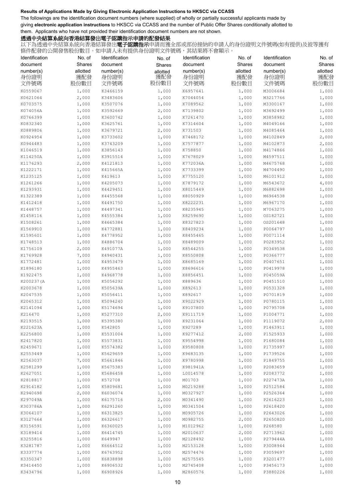The followings are the identification document numbers (where supplied) of wholly or partially successful applicants made by giving **electronic application instructions** to HKSCC via CCASS and the number of Public Offer Shares conditionally allotted to them. Applicants who have not provided their identification document numbers are not shown.

## 透過中央結算系統向香港結算發出電子認購指示申請的配發結果

| Identification | No. of   | Identification | No. of   | Identification | No. of   | Identification | No. of   |
|----------------|----------|----------------|----------|----------------|----------|----------------|----------|
| document       | Shares   | document       | Shares   | document       | Shares   | document       | Shares   |
| number(s)      | allotted | number(s)      | allotted | number(s)      | allotted | number(s)      | allotted |
| 身份證明           | 獲配發      | 身份證明           | 獲配發      | 身份證明           | 獲配發      | 身份證明           | 獲配發      |
| 文件號碼           | 股份數目     | 文件號碼           | 股份數目     | 文件號碼           | 股份數目     | 文件號碼           | 股份數目     |
| K0559067       | 1,000    | K3466159       | 1,000    | K6957641       | 1,000    | M3006684       | 1,000    |
| K0621064       | 2,000    | K3483606       | 1,000    | K7044054       | 1,000    | M3217766       | 1,000    |
| K0703575       | 1,000    | K3507076       | 1,000    | K7089562       | 1,000    | M3300167       | 1,000    |
| K074056A       | 1,000    | K3592669       | 2,000    | K7139802       | 1,000    | M3692499       | 1,000    |
| K0766399       | 1,000    | K3600742       | 1,000    | K7261470       | 1,000    | M3858982       | 1,000    |
| K0832340       | 1,000    | K3625761       | 1,000    | K7314604       | 1,000    | M4049166       | 1,000    |
| K0889806       | 1,000    | K3679721       | 2,000    | K731503        | 1,000    | M4085464       | 1,000    |
| K0924954       | 1,000    | K3733602       | 1,000    | K7468172       | 1,000    | M4102849       | 2,000    |
| K0944483       | 1,000    | K3743209       | 1,000    | K7577877       | 1,000    | M4102873       | 2,000    |
| K1046519       | 1,000    | K3856143       | 1,000    | K758850        | 1,000    | M4174866       | 1,000    |
| K114250A       | 1,000    | K3915514       | 1,000    | K7678029       | 1,000    | M4597511       | 1,000    |
| K1176293       | 2,000    | K4121813       | 1,000    | K772036A       | 1,000    | M4675768       | 1,000    |
| K1222171       | 1,000    | K415665A       | 1,000    | K7733399       | 1,000    | M4704490       | 1,000    |
| K1235125       | 1,000    | K419613        | 1,000    | K7755120       | 1,000    | M6101912       | 1,000    |
| K1261266       | 1,000    | K4205073       | 1,000    | K7879172       | 1,000    | M6543672       | 4,000    |
| K1293931       | 1,000    | K4429451       | 1,000    | K8015449       | 1,000    | M6882698       | 1,000    |
| K1322389       | 1,000    | K4455568       | 1,000    | K8050929       | 1,000    | M6964538       | 1,000    |
| K1412418       | 1,000    | K4491750       | 1,000    | K8222231       | 1,000    | M6967170       | 1,000    |
| K1448757       | 1,000    | K4497341       | 1,000    | K8235945       | 1,000    | M7063275       | 1,000    |
| K1458116       | 1,000    | K4555384       | 1,000    | K8259690       | 1,000    | OS182721       | 1,000    |
| K1508261       | 1,000    | K4665384       | 1,000    | K8327823       | 1,000    | OS201648       | 1,000    |
| K1569910       | 1,000    | K4772881       | 1,000    | K8409234       | 1,000    | P0064797       | 1,000    |
| K1595601       | 1,000    | K4778952       | 1,000    | K8455465       | 1,000    | P0071114       | 1,000    |
| K1748513       | 1,000    | K4886704       | 1,000    | K8489009       | 1,000    | P0283952       | 1,000    |
| K1756109       | 2,000    | K491077A       | 1,000    | K8544255       | 1,000    | P0349538       | 1,000    |
| K1769928       | 7,000    | K4940431       | 1,000    | K8550808       | 1,000    | P0366777       | 1,000    |
| K1772481       | 1,000    | K4953479       | 1,000    | K8685169       | 1,000    | P0407651       | 1,000    |
| K1896180       | 1,000    | K4955463       | 1,000    | K8696616       | 1,000    | P0419978       | 1,000    |
| K1922475       | 1,000    | K4968778       | 1,000    | K8856451       | 1,000    | P045059A       | 1,000    |
| K200237 (A     | 1,000    | K5056292       | 1,000    | K889636        | 1,000    | P0451510       | 1,000    |
| K2003678       | 1,000    | K505639A       | 1,000    | K892613        | 1,000    | P0531328       | 1,000    |
| K2047535       | 1,000    | K5056411       | 1,000    | K892617        | 1,000    | P0701819       | 1,000    |
| K2065312       | 1,000    | K5094240       | 1,000    | K9022929       | 1,000    | P0780115       | 1,000    |
| K2141094       | 1,000    | K5174694       | 1,000    | K9107800       | 1,000    | P0795708       | 1,000    |
| K216470        | 1,000    | K5277310       | 2,000    | K9111719       | 1,000    | P1004771       | 1,000    |
| K2193515       | 1,000    | K5395380       | 1,000    | K9231064       | 1,000    | P1119072       | 2,000    |
| K221623A       | 1,000    | K542805        | 1,000    | K927289        | 1,000    | P1463911       | 1,000    |
| K2256800       | 1,000    | K5531004       | 1,000    | K9277412       | 2,000    | P1525933       | 1,000    |
| K2417820       | 1,000    | K5573831       | 1,000    | K9554998       | 1,000    | P1680084       | 1,000    |
| K2459671       | 1,000    | K5574382       | 1,000    | K9580808       | 1,000    | P1735997       | 1,000    |
| K2553449       | 1,000    | K5629659       | 1,000    | K9683135       | 1,000    | P1739526       | 1,000    |
| K2563037       | 7,000    | K5661846       | 1,000    | K9780998       | 1,000    | P1849755       | 1,000    |
| K2581299       | 1,000    | K5675383       | 1,000    | K981941A       | 1,000    | P2083659       | 1,000    |
| K2627051       | 1,000    | K5686458       | 1,000    | L0014578       | 1,000    | P2083772       | 1,000    |
| K2818817       | 1,000    | K572708        | 1,000    | M01703         | 1,000    | P227473A       | 1,000    |
| K2914182       | 1,000    | K5809681       | 1,000    | M0219288       | 1,000    | P2512584       | 1,000    |
| K2940698       | 2,000    | K6036074       | 1,000    | M0327927       | 1,000    | P2526364       | 1,000    |
| K297049A       | 1,000    | K6175716       | 2,000    | M0341490       | 1,000    | P2616223       | 1,000    |
| K303786A       | 1,000    | K6291260       | 1,000    | M0341504       | 1,000    | P2618420       | 1,000    |
| K3064107       | 1,000    | K6313825       | 1,000    | M0905726       | 1,000    | P2643026       | 1,000    |
| K3127664       | 1,000    | K6326617       | 1,000    | M0982755       | 2,000    | P2650820       | 1,000    |
| K3156591       | 1,000    | K6360025       | 1,000    | M1012962       | 1,000    | P268580        | 1,000    |
| K3189414       | 1,000    | K6414745       | 1,000    | M2010637       | 2,000    | P2713962       | 1,000    |
| K3255816       | 1,000    | K649947        | 1,000    | M2128492       | 1,000    | P279444A       | 1,000    |
| K3281787       | 1,000    | K6664512       | 1,000    | M2153128       | 1,000    | P3008944       | 1,000    |
| K3337774       | 1,000    | K6763952       | 1,000    | M2574476       | 1,000    | P3059697       | 1,000    |
| K3350347       | 1,000    | K6838898       | 1,000    | M2575545       | 1,000    | P3201477       | 1,000    |
| K3414450       | 1,000    | K6906532       | 1,000    | M2745408       | 1,000    | P3456173       | 1,000    |
| K3434796       | 1,000    | K6908926       | 1,000    | M2860576       | 1,000    | P3880226       | 1,000    |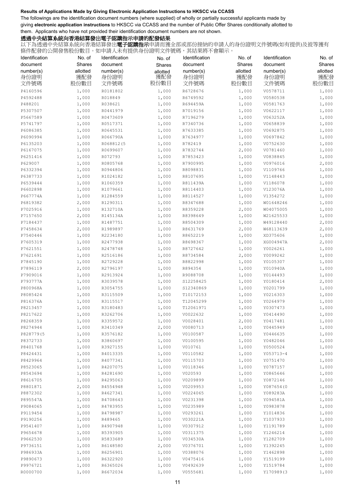The followings are the identification document numbers (where supplied) of wholly or partially successful applicants made by giving **electronic application instructions** to HKSCC via CCASS and the number of Public Offer Shares conditionally allotted to them. Applicants who have not provided their identification document numbers are not shown.

## 透過中央結算系統向香港結算發出電子認購指示申請的配發結果

| Identification | No. of   | Identification | No. of   | Identification | No. of   | Identification | No. of   |
|----------------|----------|----------------|----------|----------------|----------|----------------|----------|
| document       | Shares   | document       | Shares   | document       | Shares   | document       | Shares   |
| number(s)      | allotted | number(s)      | allotted | number(s)      | allotted | number(s)      | allotted |
| 身份證明           | 獲配發      | 身份證明           | 獲配發      | 身份證明           | 獲配發      | 身份證明           | 獲配發      |
| 文件號碼           | 股份數目     | 文件號碼           | 股份數目     | 文件號碼           | 股份數目     | 文件號碼           | 股份數目     |
| P4160596       | 1,000    | R0181802       | 1,000    | R6728676       | 1,000    | V0578711       | 1,000    |
| P4592488       | 1,000    | R018849        | 1,000    | R6749592       | 1,000    | V0580538       | 1,000    |
| P488201        | 1,000    | R038621        | 1,000    | R694459A       | 1,000    | V0581763       | 1,000    |
| P5307507       | 1,000    | R0441979       | 1,000    | R7019156       | 1,000    | V0622117       | 1,000    |
| P5667589       | 1,000    | R0473609       | 1,000    | R7196279       | 1,000    | V063252A       | 1,000    |
| P5741797       | 1,000    | R0517371       | 1,000    | R7340736       | 1,000    | V0658839       | 1,000    |
| P6086385       | 1,000    | R0645531       | 1,000    | R7633385       | 1,000    | V0692875       | 1,000    |
| P6090994       | 1,000    | R066790A       | 1,000    | R7634977       | 1,000    | V0697842       | 1,000    |
| P6135203       | 1,000    | R068812(5      | 1,000    | R782419        | 1,000    | V0752630       | 1,000    |
| P6167075       | 1,000    | R0699607       | 1,000    | R7832744       | 2,000    | V0781460       | 1,000    |
| P6251416       | 1,000    | R072793        | 1,000    | R7853423       | 1,000    | V0838845       | 1,000    |
| P629007        | 1,000    | R0805768       | 1,000    | R7900995       | 1,000    | V0976016       | 2,000    |
| P6332394       | 1,000    | R0944806       | 1,000    | R8098831       | 1,000    | V1109766       | 1,000    |
| P6387733       | 1,000    | R1024182       | 1,000    | R8107695       | 1,000    | V1148443       | 1,000    |
| P6539444       | 1,000    | R1060359       | 1,000    | R811439A       | 1,000    | V1186078       | 1,000    |
| P6602898       | 1,000    | R1079661       | 1,000    | R8114403       | 1,000    | V123076A       | 1,000    |
| P667774A       | 1,000    | R1284559       | 1,000    | R8114527       | 1,000    | V1354272       | 1,000    |
| P6819382       | 2,000    | R1290311       | 1,000    | R8347688       | 1,000    | W01648246      | 1,000    |
| P7025916       | 1,000    | R132710A       | 1,000    | R8359228       | 2,000    | W04075005      | 1,000    |
| P7157650       | 2,000    | R145134A       | 1,000    | R8398649       | 1,000    | W21625533      | 1,000    |
| P7184437       | 1,000    | R1487751       | 1,000    | R8504309       | 1,000    | W49128440      | 2,000    |
| P7458634       | 2,000    | R1989897       | 1,000    | R8631769       | 2,000    | W68113639      | 2,000    |
| P7540446       | 1,000    | R2234180       | 1,000    | R8652219       | 1,000    | XD375606       | 1,000    |
| P7605319       | 1,000    | R2477938       | 1,000    | R8698367       | 1,000    | XG004947A      | 2,000    |
| P7621551       | 1,000    | R2478748       | 1,000    | R8727642       | 1,000    | Y0026261       | 1,000    |
| P7621691       | 1,000    | R2516186       | 1,000    | R8734584       | 2,000    | Y0099242       | 1,000    |
| P7845190       | 1,000    | R2729228       | 1,000    | R8822998       | 1,000    | Y0105307       | 1,000    |
| P7896119       | 2,000    | R2796197       | 1,000    | R894354        | 1,000    | Y010940A       | 1,000    |
| P7909016       | 1,000    | R2913924       | 1,000    | R9088708       | 1,000    | Y0144493       | 1,000    |
| P793777A       | 1,000    | R3039578       | 1,000    | S12258425      | 1,000    | Y0180414       | 2,000    |
| P800968A       | 1,000    | R3054755       | 1,000    | S12340869      | 1,000    | Y0201799       | 1,000    |
| P8085424       | 1,000    | R3115509       | 1,000    | T10172153      | 1,000    | Y0216303       | 1,000    |
| P816376A       | 1,000    | R3115517       | 1,000    | T12045299      | 1,000    | Y0264979       | 1,000    |
| P8213457       | 1,000    | R3180483       | 1,000    | T12061971      | 1,000    | Y0307473       | 1,000    |
| P8217622       | 1,000    | R3262706       | 1,000    | V0022632       | 1,000    | Y0414490       | 1,000    |
| P8268359       | 1,000    | R3359572       | 1,000    | V0028401       | 2,000    | Y0417481       | 1,000    |
| P8274944       | 1,000    | R3410349       | 2,000    | V0080713       | 1,000    | Y0445949       | 1,000    |
| P828779(5      | 1,000    | R3576182       | 1,000    | V0100587       | 1,000    | Y0446635       | 1,000    |
| P8372733       | 1,000    | R3860697       | 1,000    | V0100595       | 1,000    | Y0482046       | 1,000    |
| P8401768       | 1,000    | R3927155       | 1,000    | V010761        | 1,000    | Y0500524       | 1,000    |
| P8424431       | 1,000    | R4013335       | 1,000    | V0110582       | 1,000    | Y053713-4      | 1,000    |
| P8429964       | 1,000    | R4077341       | 1,000    | V0115703       | 1,000    | Y0751470       | 1,000    |
| P8523065       | 1,000    | R4207075       | 1,000    | V0118346       | 1,000    | Y0787157       | 1,000    |
| P8543694       | 1,000    | R4281690       | 1,000    | V020593        | 1,000    | Y0865646       | 1,000    |
| P8616705       | 1,000    | R4295063       | 1,000    | V0209899       | 1,000    | Y0872146       | 1,000    |
| P8801871       | 2,000    | R4554948       | 1,000    | V0209953       | 1,000    | Y087654 (0     | 1,000    |
| P8872302       | 1,000    | R4627341       | 1,000    | V0224065       | 1,000    | Y089283A       | 1,000    |
| P895547A       | 1,000    | R4708643       | 1,000    | V0231398       | 1,000    | Y094581A       | 1,000    |
| P9084065       | 1,000    | R4783955       | 1,000    | V0235989       | 1,000    | Y0983878       | 1,000    |
| P9119454       | 1,000    | R4798987       | 1,000    | V0293261       | 1,000    | Y1014836       | 1,000    |
| P9190256       | 1,000    | R489465        | 1,000    | V030221A       | 1,000    | Y1037933       | 1,000    |
| P9541407       | 1,000    | R4907948       | 1,000    | V0307912       | 1,000    | Y1191789       | 1,000    |
| P9654678       | 1,000    | R5393905       | 1,000    | V0311375       | 1,000    | Y1246214       | 1,000    |
| P9662530       | 1,000    | R5833689       | 1,000    | V034530A       | 1,000    | Y1282709       | 1,000    |
| P9736151       | 1,000    | R6148580       | 2,000    | V0376701       | 1,000    | Y1392245       | 1,000    |
| P986933A       | 1,000    | R6256901       | 1,000    | V0388076       | 1,000    | Y1462898       | 1,000    |
| P9890673       | 1,000    | R6322920       | 1,000    | V0475416       | 1,000    | Y1519199       | 1,000    |
| P9976721       | 1,000    | R6365026       | 1,000    | V0492639       | 1,000    | Y1519784       | 1,000    |
| R0000700       | 1,000    | R6672034       | 1,000    | V0555681       | 1,000    | Y170989(3      | 1,000    |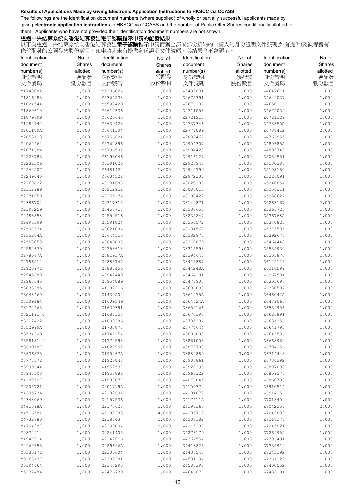The followings are the identification document numbers (where supplied) of wholly or partially successful applicants made by giving **electronic application instructions** to HKSCC via CCASS and the number of Public Offer Shares conditionally allotted to them. Applicants who have not provided their identification document numbers are not shown.

## 透過中央結算系統向香港結算發出電子認購指示申請的配發結果

| Identification | No. of   | Identification | No. of   | Identification | No. of   | Identification | No. of   |
|----------------|----------|----------------|----------|----------------|----------|----------------|----------|
| document       | Shares   | document       | Shares   | document       | Shares   | document       | Shares   |
| number(s)      | allotted | number(s)      | allotted | number(s)      | allotted | number(s)      | allotted |
| 身份證明           | 獲配發      | 身份證明           | 獲配發      | 身份證明           | 獲配發      | 身份證明           | 獲配發      |
| 文件號碼           | 股份數目     | 文件號碼           | 股份數目     | 文件號碼           | 股份數目     | 文件號碼           | 股份數目     |
| Y1748082       | 1,000    | Y533682A       | 1,000    | Z2482631       | 1,000    | Z4647611       | 1,000    |
| Y1816983       | 1,000    | Y5364238       | 1,000    | Z2675391       | 1,000    | Z4649037       | 1,000    |
| Y1824544       | 1,000    | Y5597429       | 1,000    | Z2676207       | 1,000    | Z4650116       | 1,000    |
| Y1869610       | 1,000    | Y5610336       | 1,000    | Z2711053       | 1,000    | Z4672039       | 1,000    |
| Y1879799       | 1,000    | Y5623640       | 1,000    | Z2721210       | 1,000    | Z4721129       | 1,000    |
| Y1984142       | 1,000    | Y5639423       | 1,000    | Z2737346       | 1,000    | Z473350A       | 1,000    |
| Y201189A       | 2,000    | Y5641304       | 1,000    | Z2777089       | 1,000    | Z4738412       | 2,000    |
| Y2053118       | 1,000    | Y5756624       | 1,000    | Z2839467       | 1,000    | Z4766955       | 1,000    |
| Y2064462       | 1,000    | Y5762896       | 1,000    | Z2904307       | 1,000    | Z480685A       | 1,000    |
| Y207168A       | 1,000    | Y5796502       | 1,000    | Z2904420       | 1,000    | Z4809743       | 1,000    |
| Y2228783       | 1,000    | Y6193046       | 1,000    | Z2916127       | 1,000    | Z5059551       | 1,000    |
| Y2232306       | 1,000    | Y6391026       | 1,000    | Z2925940       | 1,000    | Z5130388       | 1,000    |
| Y2244207       | 1,000    | Y6481424       | 1,000    | Z2942799       | 1,000    | Z5198160       | 1,000    |
| Y2249640       | 1,000    | Y6634522       | 1,000    | Z2972337       | 1,000    | Z5226091       | 1,000    |
| Y2260822       | 1,000    | Z0131688       | 1,000    | Z3020283       | 1,000    | Z524085A       | 1,000    |
| Y2312989       | 1,000    | Z0212912       | 1,000    | Z3085016       | 1,000    | Z5254311       | 1,000    |
| Y2371950       | 1,000    | Z026517A       | 1,000    | Z3100422       | 1,000    | Z5258627       | 1,000    |
| Y2386702       | 1,000    | Z0317315       | 1,000    | Z3149871       | 1,000    | Z5263167       | 2,000    |
| Y2397259       | 1,000    | Z0458717       | 1,000    | Z3200656       | 1,000    | Z5365725       | 1,000    |
| Y2488858       | 1,000    | Z0550516       | 1,000    | Z3235247       | 1,000    | Z536768A       | 1,000    |
| Y2490399       | 1,000    | Z0591824       | 1,000    | Z3250572       | 1,000    | Z5370826       | 1,000    |
| Y2507534       | 2,000    | Z062188A       | 1,000    | Z3281567       | 1,000    | Z5375585       | 1,000    |
| Y255284A       | 1,000    | Z0644510       | 1,000    | Z3282970       | 1,000    | Z5392676       | 1,000    |
| Y2558058       | 1,000    | Z0649008       | 1,000    | Z3310079       | 1,000    | Z5464448       | 1,000    |
| Y2584679       | 1,000    | Z0758613       | 1,000    | Z3315593       | 1,000    | Z5535930       | 1,000    |
| Y278077A       | 1,000    | Z081937A       | 1,000    | Z3394647       | 1,000    | Z6105875       | 1,000    |
| Y2786212       | 1,000    | Z0885747       | 1,000    | Z3425887       | 1,000    | Z6122125       | 1,000    |
| Y2925972       | 1,000    | Z0887456       | 1,000    | Z344248A       | 1,000    | Z6218599       | 1,000    |
| Y2945280       | 1,000    | Z0942449       | 1,000    | Z3464181       | 1,000    | Z6267581       | 1,000    |
| Y2963645       | 1,000    | Z0954889       | 1,000    | Z3473903       | 1,000    | Z6305696       | 1,000    |
| Y3033285       | 1,000    | Z1182316       | 1,000    | Z3606830       | 1,000    | Z6380507       | 1,000    |
| Y3048460       | 1,000    | Z1430204       | 1,000    | Z361275A       | 1,000    | Z646042A       | 1,000    |
| Y3109184       | 1,000    | Z1609549       | 1,000    | Z364824A       | 1,000    | Z6479066       | 1,000    |
| Y3172463       | 1,000    | Z1639391       | 1,000    | Z3652166       | 1,000    | Z6559906       | 1,000    |
| Y321191(4      | 1,000    | Z1687353       | 1,000    | Z3670393       | 1,000    | Z6626891       | 1,000    |
| Y3212422       | 1,000    | Z1699386       | 1,000    | Z373538A       | 1,000    | Z6631356       | 1,000    |
| Y352999A       | 1,000    | Z1733878       | 1,000    | Z3774644       | 1,000    | Z6641793       | 1,000    |
| Y3534209       | 1,000    | Z174215A       | 1,000    | Z3806880       | 1,000    | Z6642536       | 1,000    |
| Y358181(9      | 1,000    | Z1772598       | 1,000    | Z3861008       | 1,000    | Z6668969       | 1,000    |
| Y3609187       | 1,000    | Z1828992       | 1,000    | Z3872700       | 1,000    | Z6704256       | 1,000    |
| Y3636575       | 1,000    | Z190267A       | 1,000    | Z3882889       | 3,000    | Z6714448       | 1,000    |
| Y3773572       | 1,000    | Z1926048       | 1,000    | Z3908861       | 1,000    | Z6734392       | 1,000    |
| Y3909644       | 1,000    | Z1952537       | 1,000    | Z3928293       | 1,000    | Z6807039       | 1,000    |
| Y3947503       | 1,000    | Z1953886       | 1,000    | Z3966322       | 1,000    | Z6859276       | 1,000    |
| Y4130527       | 1,000    | Z1980077       | 2,000    | Z4076045       | 1,000    | Z6860703       | 1,000    |
| Y4205721       | 1,000    | Z201719A       | 1,000    | Z410037        | 1,000    | Z6910514       | 1,000    |
| Y420573A       | 1,000    | Z210260A       | 1,000    | Z4101872       | 1,000    | Z691415        | 1,000    |
| Y4348069       | 1,000    | Z2157536       | 1,000    | Z417411A       | 1,000    | Z701840        | 1,000    |
| Y441598A       | 1,000    | Z2175623       | 1,000    | Z4197365       | 1,000    | Z7042257       | 2,000    |
| Y4516581       | 1,000    | Z2183383       | 4,000    | Z4203713       | 1,000    | Z7049839       | 1,000    |
| Y4732780       | 1,000    | Z218843        | 1,000    | Z4207182       | 1,000    | Z7218177       | 1,000    |
| Y4794387       | 1,000    | Z219900A       | 2,000    | Z4215207       | 1,000    | Z7245921       | 1,000    |
| Y4872914       | 1,000    | Z2241405       | 1,000    | Z4278179       | 1,000    | Z7269952       | 1,000    |
| Y4947914       | 1,000    | Z2242916       | 1,000    | Z4367554       | 1,000    | Z7306491       | 1,000    |
| Y4960155       | 1,000    | Z229696A       | 1,000    | Z4413823       | 1,000    | Z7335912       | 1,000    |
| Y5130172       | 1,000    | Z2306604       | 1,000    | Z4436548       | 1,000    | Z7343192       | 1,000    |
| Y5168137       | 1,000    | Z2332281       | 1,000    | Z458119A       | 1,000    | Z7361123       | 1,000    |
| Y5194464       | 1,000    | Z2346290       | 1,000    | Z4583397       | 1,000    | Z7400552       | 1,000    |
| Y523248A       | 1,000    | Z2476739       | 1,000    | Z464667        | 1,000    | Z7433191       | 1,000    |
|                |          |                |          |                |          |                |          |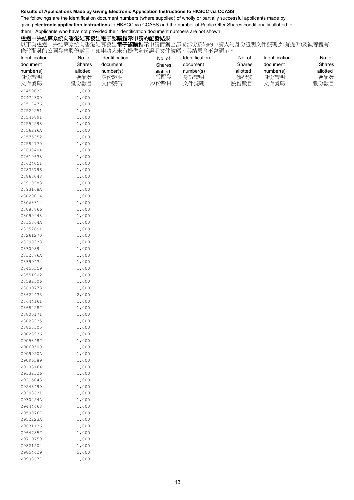The followings are the identification document numbers (where supplied) of wholly or partially successful applicants made by giving **electronic application instructions** to HKSCC via CCASS and the number of Public Offer Shares conditionally allotted to them. Applicants who have not provided their identification document numbers are not shown.

### 透過中央結算系統向香港結算發出電子認購指示申請的配發結果

| Identification       | No. of         | Identification | No. of          | Identification | No. of   | Identification | No. of   |
|----------------------|----------------|----------------|-----------------|----------------|----------|----------------|----------|
| document             | Shares         | document       | Shares          | document       | Shares   | document       | Shares   |
| number(s)            | allotted       | number(s)      |                 | number(s)      | allotted | number(s)      | allotted |
| 身份證明                 | 獲配發            | 身份證明           | allotted<br>獲配發 | 身份證明           | 獲配發      | 身份證明           | 獲配發      |
| 文件號碼                 | 股份數目           | 文件號碼           | 股份數目            | 文件號碼           | 股份數目     | 文件號碼           | 股份數目     |
| Z7450037             | 1,000          |                |                 |                |          |                |          |
| Z7474300             | 1,000          |                |                 |                |          |                |          |
| Z7517476             | 1,000          |                |                 |                |          |                |          |
| Z7524251             | 1,000          |                |                 |                |          |                |          |
| Z7546891             | 1,000          |                |                 |                |          |                |          |
| Z7552298             | 1,000          |                |                 |                |          |                |          |
| Z756296A             | 1,000          |                |                 |                |          |                |          |
| Z7575352             | 1,000          |                |                 |                |          |                |          |
| Z7582170             | 1,000          |                |                 |                |          |                |          |
| Z7608404             | 1,000          |                |                 |                |          |                |          |
| Z7610638             | 1,000          |                |                 |                |          |                |          |
| Z7624051             | 1,000          |                |                 |                |          |                |          |
| Z7835796             | 1,000          |                |                 |                |          |                |          |
| Z7863048             | 1,000          |                |                 |                |          |                |          |
| Z7910283             | 1,000          |                |                 |                |          |                |          |
| Z793168A             | 1,000          |                |                 |                |          |                |          |
| Z802001A             | 1,000          |                |                 |                |          |                |          |
| Z8068314             | 1,000          |                |                 |                |          |                |          |
| Z8087866             | 1,000          |                |                 |                |          |                |          |
| Z8090948             | 1,000          |                |                 |                |          |                |          |
| Z815864A             | 1,000          |                |                 |                |          |                |          |
| Z8252891<br>Z8261270 | 1,000<br>1,000 |                |                 |                |          |                |          |
| Z8290238             | 1,000          |                |                 |                |          |                |          |
| Z830089              | 1,000          |                |                 |                |          |                |          |
| Z832776A             | 1,000          |                |                 |                |          |                |          |
| Z8399434             | 1,000          |                |                 |                |          |                |          |
| Z8450359             | 1,000          |                |                 |                |          |                |          |
| Z8551902             | 1,000          |                |                 |                |          |                |          |
| Z8582506             | 1,000          |                |                 |                |          |                |          |
| Z8609773             | 1,000          |                |                 |                |          |                |          |
| Z8622435             | 2,000          |                |                 |                |          |                |          |
| Z8644161             | 1,000          |                |                 |                |          |                |          |
| Z8684287             | 1,000          |                |                 |                |          |                |          |
| Z8800171             | 1,000          |                |                 |                |          |                |          |
| Z8828335             | 1,000          |                |                 |                |          |                |          |
| Z8857505             | 1,000          |                |                 |                |          |                |          |
| Z9028936             | 1,000          |                |                 |                |          |                |          |
| Z9058487             | 1,000          |                |                 |                |          |                |          |
| Z9069500             | 1,000          |                |                 |                |          |                |          |
| Z909050A             | 1,000          |                |                 |                |          |                |          |
| Z9096389             | 1,000          |                |                 |                |          |                |          |
| Z9103164             | 1,000          |                |                 |                |          |                |          |
| Z9132326             | 1,000          |                |                 |                |          |                |          |
| Z9215043<br>Z9248499 | 1,000<br>1,000 |                |                 |                |          |                |          |
| Z9298631             | 1,000          |                |                 |                |          |                |          |
| Z930254A             | 1,000          |                |                 |                |          |                |          |
| Z9444468             | 1,000          |                |                 |                |          |                |          |
| Z9500767             | 1,000          |                |                 |                |          |                |          |
| Z952223A             | 1,000          |                |                 |                |          |                |          |
| Z9631136             | 1,000          |                |                 |                |          |                |          |
| Z9647857             | 1,000          |                |                 |                |          |                |          |
| Z9719750             | 1,000          |                |                 |                |          |                |          |
| Z9821504             | 1,000          |                |                 |                |          |                |          |
| Z9854429             | 2,000          |                |                 |                |          |                |          |
| Z9908677             | 1,000          |                |                 |                |          |                |          |
|                      |                |                |                 |                |          |                |          |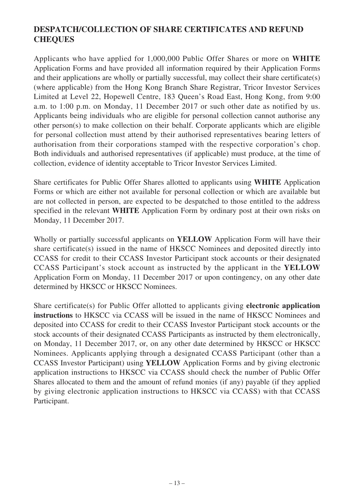# **DESPATCH/COLLECTION OF SHARE CERTIFICATES AND REFUND CHEQUES**

Applicants who have applied for 1,000,000 Public Offer Shares or more on **WHITE** Application Forms and have provided all information required by their Application Forms and their applications are wholly or partially successful, may collect their share certificate(s) (where applicable) from the Hong Kong Branch Share Registrar, Tricor Investor Services Limited at Level 22, Hopewell Centre, 183 Queen's Road East, Hong Kong, from 9:00 a.m. to 1:00 p.m. on Monday, 11 December 2017 or such other date as notified by us. Applicants being individuals who are eligible for personal collection cannot authorise any other person(s) to make collection on their behalf. Corporate applicants which are eligible for personal collection must attend by their authorised representatives bearing letters of authorisation from their corporations stamped with the respective corporation's chop. Both individuals and authorised representatives (if applicable) must produce, at the time of collection, evidence of identity acceptable to Tricor Investor Services Limited.

Share certificates for Public Offer Shares allotted to applicants using **WHITE** Application Forms or which are either not available for personal collection or which are available but are not collected in person, are expected to be despatched to those entitled to the address specified in the relevant **WHITE** Application Form by ordinary post at their own risks on Monday, 11 December 2017.

Wholly or partially successful applicants on **YELLOW** Application Form will have their share certificate(s) issued in the name of HKSCC Nominees and deposited directly into CCASS for credit to their CCASS Investor Participant stock accounts or their designated CCASS Participant's stock account as instructed by the applicant in the **YELLOW** Application Form on Monday, 11 December 2017 or upon contingency, on any other date determined by HKSCC or HKSCC Nominees.

Share certificate(s) for Public Offer allotted to applicants giving **electronic application instructions** to HKSCC via CCASS will be issued in the name of HKSCC Nominees and deposited into CCASS for credit to their CCASS Investor Participant stock accounts or the stock accounts of their designated CCASS Participants as instructed by them electronically, on Monday, 11 December 2017, or, on any other date determined by HKSCC or HKSCC Nominees. Applicants applying through a designated CCASS Participant (other than a CCASS Investor Participant) using **YELLOW** Application Forms and by giving electronic application instructions to HKSCC via CCASS should check the number of Public Offer Shares allocated to them and the amount of refund monies (if any) payable (if they applied by giving electronic application instructions to HKSCC via CCASS) with that CCASS Participant.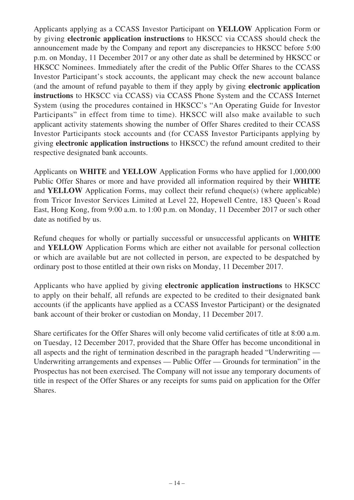Applicants applying as a CCASS Investor Participant on **YELLOW** Application Form or by giving **electronic application instructions** to HKSCC via CCASS should check the announcement made by the Company and report any discrepancies to HKSCC before 5:00 p.m. on Monday, 11 December 2017 or any other date as shall be determined by HKSCC or HKSCC Nominees. Immediately after the credit of the Public Offer Shares to the CCASS Investor Participant's stock accounts, the applicant may check the new account balance (and the amount of refund payable to them if they apply by giving **electronic application instructions** to HKSCC via CCASS) via CCASS Phone System and the CCASS Internet System (using the procedures contained in HKSCC's "An Operating Guide for Investor Participants" in effect from time to time). HKSCC will also make available to such applicant activity statements showing the number of Offer Shares credited to their CCASS Investor Participants stock accounts and (for CCASS Investor Participants applying by giving **electronic application instructions** to HKSCC) the refund amount credited to their respective designated bank accounts.

Applicants on **WHITE** and **YELLOW** Application Forms who have applied for 1,000,000 Public Offer Shares or more and have provided all information required by their **WHITE** and **YELLOW** Application Forms, may collect their refund cheque(s) (where applicable) from Tricor Investor Services Limited at Level 22, Hopewell Centre, 183 Queen's Road East, Hong Kong, from 9:00 a.m. to 1:00 p.m. on Monday, 11 December 2017 or such other date as notified by us.

Refund cheques for wholly or partially successful or unsuccessful applicants on **WHITE** and **YELLOW** Application Forms which are either not available for personal collection or which are available but are not collected in person, are expected to be despatched by ordinary post to those entitled at their own risks on Monday, 11 December 2017.

Applicants who have applied by giving **electronic application instructions** to HKSCC to apply on their behalf, all refunds are expected to be credited to their designated bank accounts (if the applicants have applied as a CCASS Investor Participant) or the designated bank account of their broker or custodian on Monday, 11 December 2017.

Share certificates for the Offer Shares will only become valid certificates of title at 8:00 a.m. on Tuesday, 12 December 2017, provided that the Share Offer has become unconditional in all aspects and the right of termination described in the paragraph headed "Underwriting — Underwriting arrangements and expenses — Public Offer — Grounds for termination" in the Prospectus has not been exercised. The Company will not issue any temporary documents of title in respect of the Offer Shares or any receipts for sums paid on application for the Offer Shares.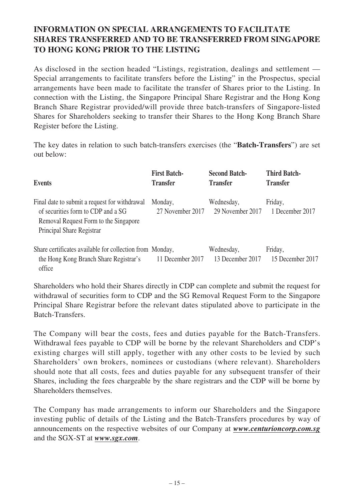# **INFORMATION ON SPECIAL ARRANGEMENTS TO FACILITATE SHARES TRANSFERRED AND TO BE TRANSFERRED FROM SINGAPORE TO HONG KONG PRIOR TO THE LISTING**

As disclosed in the section headed "Listings, registration, dealings and settlement — Special arrangements to facilitate transfers before the Listing" in the Prospectus, special arrangements have been made to facilitate the transfer of Shares prior to the Listing. In connection with the Listing, the Singapore Principal Share Registrar and the Hong Kong Branch Share Registrar provided/will provide three batch-transfers of Singapore-listed Shares for Shareholders seeking to transfer their Shares to the Hong Kong Branch Share Register before the Listing.

The key dates in relation to such batch-transfers exercises (the "**Batch-Transfers**") are set out below:

| <b>Events</b>                                                                                                                                             | <b>First Batch-</b><br><b>Transfer</b> | <b>Second Batch-</b><br><b>Transfer</b> | <b>Third Batch-</b><br><b>Transfer</b> |
|-----------------------------------------------------------------------------------------------------------------------------------------------------------|----------------------------------------|-----------------------------------------|----------------------------------------|
| Final date to submit a request for withdrawal<br>of securities form to CDP and a SG<br>Removal Request Form to the Singapore<br>Principal Share Registrar | Monday,<br>27 November 2017            | Wednesday,<br>29 November 2017          | Friday,<br>1 December 2017             |
| Share certificates available for collection from Monday,<br>the Hong Kong Branch Share Registrar's<br>office                                              | 11 December 2017                       | Wednesday,<br>13 December 2017          | Friday,<br>15 December 2017            |

Shareholders who hold their Shares directly in CDP can complete and submit the request for withdrawal of securities form to CDP and the SG Removal Request Form to the Singapore Principal Share Registrar before the relevant dates stipulated above to participate in the Batch-Transfers.

The Company will bear the costs, fees and duties payable for the Batch-Transfers. Withdrawal fees payable to CDP will be borne by the relevant Shareholders and CDP's existing charges will still apply, together with any other costs to be levied by such Shareholders' own brokers, nominees or custodians (where relevant). Shareholders should note that all costs, fees and duties payable for any subsequent transfer of their Shares, including the fees chargeable by the share registrars and the CDP will be borne by Shareholders themselves.

The Company has made arrangements to inform our Shareholders and the Singapore investing public of details of the Listing and the Batch-Transfers procedures by way of announcements on the respective websites of our Company at *www.centurioncorp.com.sg* and the SGX-ST at *www.sgx.com*.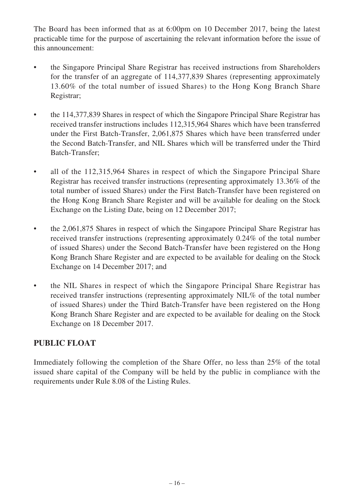The Board has been informed that as at 6:00pm on 10 December 2017, being the latest practicable time for the purpose of ascertaining the relevant information before the issue of this announcement:

- the Singapore Principal Share Registrar has received instructions from Shareholders for the transfer of an aggregate of 114,377,839 Shares (representing approximately 13.60% of the total number of issued Shares) to the Hong Kong Branch Share Registrar;
- the 114,377,839 Shares in respect of which the Singapore Principal Share Registrar has received transfer instructions includes 112,315,964 Shares which have been transferred under the First Batch-Transfer, 2,061,875 Shares which have been transferred under the Second Batch-Transfer, and NIL Shares which will be transferred under the Third Batch-Transfer;
- all of the 112,315,964 Shares in respect of which the Singapore Principal Share Registrar has received transfer instructions (representing approximately 13.36% of the total number of issued Shares) under the First Batch-Transfer have been registered on the Hong Kong Branch Share Register and will be available for dealing on the Stock Exchange on the Listing Date, being on 12 December 2017;
- the 2,061,875 Shares in respect of which the Singapore Principal Share Registrar has received transfer instructions (representing approximately 0.24% of the total number of issued Shares) under the Second Batch-Transfer have been registered on the Hong Kong Branch Share Register and are expected to be available for dealing on the Stock Exchange on 14 December 2017; and
- the NIL Shares in respect of which the Singapore Principal Share Registrar has received transfer instructions (representing approximately NIL% of the total number of issued Shares) under the Third Batch-Transfer have been registered on the Hong Kong Branch Share Register and are expected to be available for dealing on the Stock Exchange on 18 December 2017.

# **PUBLIC FLOAT**

Immediately following the completion of the Share Offer, no less than 25% of the total issued share capital of the Company will be held by the public in compliance with the requirements under Rule 8.08 of the Listing Rules.